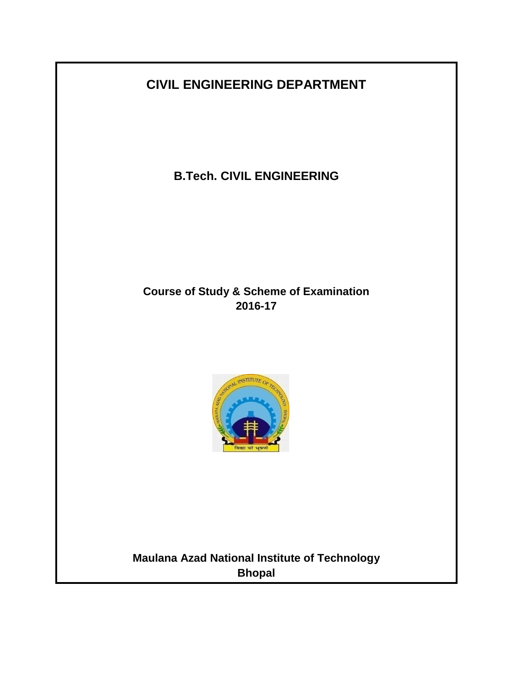# **CIVIL ENGINEERING DEPARTMENT**

**B.Tech. CIVIL ENGINEERING**

# **Course of Study & Scheme of Examination 2016-17**



**Maulana Azad National Institute of Technology Bhopal**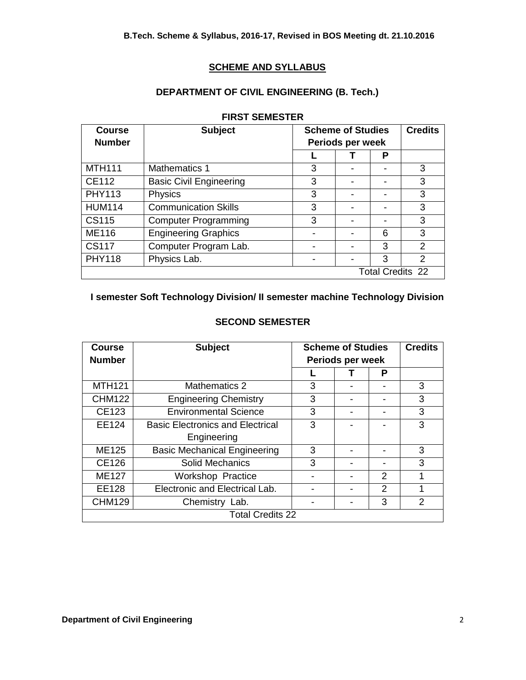## **SCHEME AND SYLLABUS**

## **DEPARTMENT OF CIVIL ENGINEERING (B. Tech.)**

| <b>Course</b> | <b>Subject</b>                 | <b>Scheme of Studies</b> |  |                          | <b>Credits</b> |
|---------------|--------------------------------|--------------------------|--|--------------------------|----------------|
| <b>Number</b> |                                | Periods per week         |  |                          |                |
|               |                                |                          |  | Р                        |                |
| <b>MTH111</b> | <b>Mathematics 1</b>           | 3                        |  | $\overline{\phantom{0}}$ | 3              |
| CE112         | <b>Basic Civil Engineering</b> | 3                        |  | -                        | 3              |
| <b>PHY113</b> | Physics                        | 3                        |  |                          | 3              |
| <b>HUM114</b> | <b>Communication Skills</b>    | 3                        |  |                          | 3              |
| <b>CS115</b>  | <b>Computer Programming</b>    | 3                        |  |                          | 3              |
| <b>ME116</b>  | <b>Engineering Graphics</b>    |                          |  | 6                        | 3              |
| <b>CS117</b>  | Computer Program Lab.          |                          |  | 3                        | $\overline{2}$ |
| <b>PHY118</b> | Physics Lab.                   |                          |  | 3                        | $\overline{2}$ |
|               |                                |                          |  | <b>Total Credits 22</b>  |                |

#### **FIRST SEMESTER**

## **I semester Soft Technology Division/ II semester machine Technology Division**

| Course                               | <b>Subject</b>                          | <b>Scheme of Studies</b> |  | <b>Credits</b> |   |
|--------------------------------------|-----------------------------------------|--------------------------|--|----------------|---|
| <b>Number</b>                        |                                         | Periods per week         |  |                |   |
|                                      |                                         |                          |  | P              |   |
| <b>MTH121</b>                        | Mathematics 2                           |                          |  |                | 3 |
| <b>CHM122</b>                        | <b>Engineering Chemistry</b>            |                          |  | -              | 3 |
| CE123                                | <b>Environmental Science</b>            |                          |  |                | 3 |
| EE124                                | <b>Basic Electronics and Electrical</b> | 3                        |  |                | 3 |
|                                      | Engineering                             |                          |  |                |   |
| ME125                                | <b>Basic Mechanical Engineering</b>     | 3                        |  |                | 3 |
| <b>CE126</b>                         | <b>Solid Mechanics</b>                  | 3                        |  |                | 3 |
| <b>ME127</b>                         | <b>Workshop Practice</b>                |                          |  | $\mathfrak{p}$ | 1 |
| EE128                                | Electronic and Electrical Lab.          |                          |  | $\mathfrak{p}$ |   |
| 3<br><b>CHM129</b><br>Chemistry Lab. |                                         |                          |  | $\mathfrak{p}$ |   |
| <b>Total Credits 22</b>              |                                         |                          |  |                |   |

#### **SECOND SEMESTER**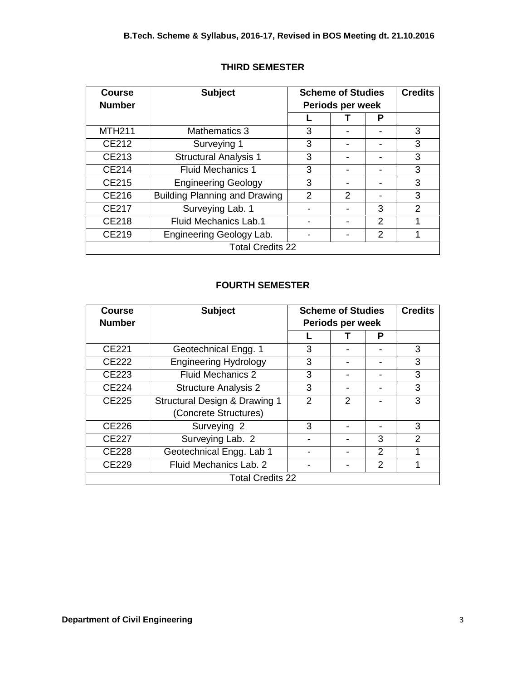| <b>Course</b><br><b>Number</b>    | <b>Subject</b>                       | <b>Scheme of Studies</b><br>Periods per week |               | <b>Credits</b> |                |
|-----------------------------------|--------------------------------------|----------------------------------------------|---------------|----------------|----------------|
|                                   |                                      |                                              |               | Р              |                |
| <b>MTH211</b>                     | <b>Mathematics 3</b>                 | 3                                            |               |                | 3              |
| CE212                             | Surveying 1                          | 3                                            |               |                | 3              |
| CE213                             | <b>Structural Analysis 1</b>         | 3                                            |               |                | 3              |
| CE214                             | <b>Fluid Mechanics 1</b>             | 3                                            |               |                | 3              |
| <b>CE215</b>                      | <b>Engineering Geology</b>           | 3                                            |               |                | 3              |
| CE216                             | <b>Building Planning and Drawing</b> | $\mathfrak{p}$                               | $\mathcal{P}$ |                | 3              |
| <b>CE217</b>                      | Surveying Lab. 1                     |                                              |               | 3              | $\overline{2}$ |
| <b>CE218</b>                      | <b>Fluid Mechanics Lab.1</b>         |                                              |               | 2              | 1              |
| CE219<br>Engineering Geology Lab. |                                      |                                              |               | $\mathfrak{p}$ |                |
| <b>Total Credits 22</b>           |                                      |                                              |               |                |                |

## **THIRD SEMESTER**

## **FOURTH SEMESTER**

| <b>Course</b>                          | <b>Subject</b>                | <b>Scheme of Studies</b> |               | <b>Credits</b> |                |
|----------------------------------------|-------------------------------|--------------------------|---------------|----------------|----------------|
| <b>Number</b>                          |                               | Periods per week         |               |                |                |
|                                        |                               |                          |               | Р              |                |
| CE221                                  | Geotechnical Engg. 1          | 3                        |               |                | 3              |
| <b>CE222</b>                           | <b>Engineering Hydrology</b>  | 3                        |               |                | 3              |
| <b>CE223</b>                           | <b>Fluid Mechanics 2</b>      | 3                        |               |                | 3              |
| <b>CE224</b>                           | <b>Structure Analysis 2</b>   | 3                        |               |                | 3              |
| <b>CE225</b>                           | Structural Design & Drawing 1 | $\mathcal{P}$            | $\mathcal{P}$ |                | 3              |
|                                        | (Concrete Structures)         |                          |               |                |                |
| <b>CE226</b>                           | Surveying 2                   | 3                        |               |                | 3              |
| <b>CE227</b>                           | Surveying Lab. 2              |                          |               | 3              | $\overline{2}$ |
| <b>CE228</b>                           | Geotechnical Engg. Lab 1      |                          |               | $\mathcal{P}$  | 1              |
| Fluid Mechanics Lab. 2<br><b>CE229</b> |                               |                          |               | $\mathcal{P}$  |                |
| <b>Total Credits 22</b>                |                               |                          |               |                |                |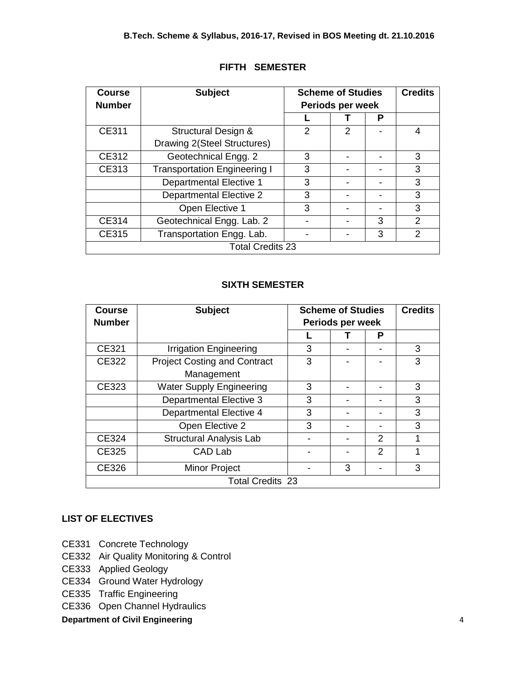| <b>Course</b><br><b>Number</b>     | <b>Subject</b>                      |   | <b>Scheme of Studies</b><br>Periods per week |   | <b>Credits</b> |
|------------------------------------|-------------------------------------|---|----------------------------------------------|---|----------------|
|                                    |                                     |   |                                              | Р |                |
| CE311                              | <b>Structural Design &amp;</b>      | 2 | $\mathcal{P}$                                |   | 4              |
|                                    | Drawing 2(Steel Structures)         |   |                                              |   |                |
| CE312                              | Geotechnical Engg. 2                | 3 |                                              |   | 3              |
| CE313                              | <b>Transportation Engineering I</b> | 3 |                                              |   | 3              |
|                                    | <b>Departmental Elective 1</b>      | 3 |                                              |   | 3              |
|                                    | <b>Departmental Elective 2</b>      | 3 |                                              |   | 3              |
|                                    | Open Elective 1                     | 3 |                                              |   | 3              |
| CE314                              | Geotechnical Engg. Lab. 2           |   | 3                                            | 2 |                |
| Transportation Engg. Lab.<br>CE315 |                                     |   |                                              | 3 | 2              |
| <b>Total Credits 23</b>            |                                     |   |                                              |   |                |

## **FIFTH SEMESTER**

## **SIXTH SEMESTER**

| <b>Course</b>                 | <b>Subject</b>                      | <b>Scheme of Studies</b> |  | <b>Credits</b> |   |
|-------------------------------|-------------------------------------|--------------------------|--|----------------|---|
| <b>Number</b>                 |                                     | Periods per week         |  |                |   |
|                               |                                     |                          |  | Р              |   |
| CE321                         | <b>Irrigation Engineering</b>       | 3                        |  |                | 3 |
| CE322                         | <b>Project Costing and Contract</b> | 3                        |  |                | 3 |
|                               | Management                          |                          |  |                |   |
| CE323                         | <b>Water Supply Engineering</b>     | 3                        |  |                | 3 |
|                               | <b>Departmental Elective 3</b>      | 3                        |  |                | 3 |
|                               | <b>Departmental Elective 4</b>      | 3                        |  |                | 3 |
|                               | Open Elective 2                     | 3                        |  |                | 3 |
| CE324                         | <b>Structural Analysis Lab</b>      |                          |  | $\mathfrak{p}$ | 1 |
| CE325                         | CAD Lab                             |                          |  | $\mathcal{P}$  | 1 |
| CE326<br><b>Minor Project</b> |                                     | 3                        |  | 3              |   |
| <b>Total Credits 23</b>       |                                     |                          |  |                |   |

## **LIST OF ELECTIVES**

- CE331 Concrete Technology
- CE332 Air Quality Monitoring & Control
- CE333 Applied Geology
- CE334 Ground Water Hydrology
- CE335 Traffic Engineering
- CE336 Open Channel Hydraulics

## **Department of Civil Engineering 4 and 2008 10 and 2008 10 and 2008 10 and 30 and 30 and 30 and 4 and 30 and 30 and 4 and 30 and 30 and 30 and 30 and 30 and 30 and 30 and 30 and 30 and 30 and 30 and 30 and 30 and 30 and 30**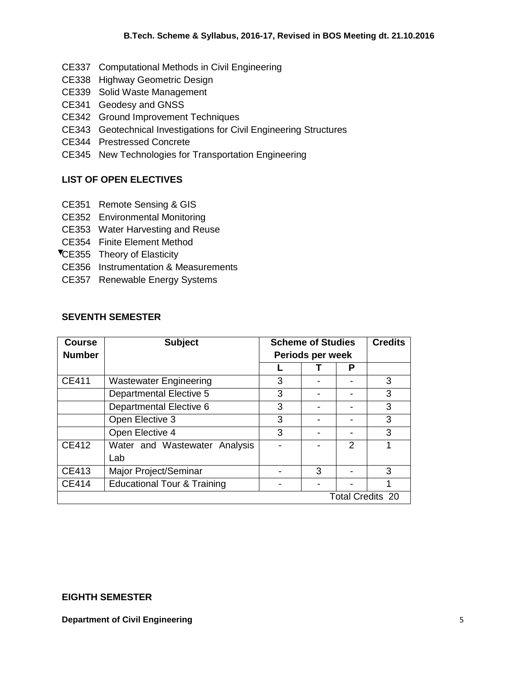- CE337 Computational Methods in Civil Engineering
- CE338 Highway Geometric Design
- CE339 Solid Waste Management
- CE341 Geodesy and GNSS
- CE342 Ground Improvement Techniques
- CE343 Geotechnical Investigations for Civil Engineering Structures
- CE344 Prestressed Concrete
- CE345 New Technologies for Transportation Engineering

## **LIST OF OPEN ELECTIVES**

- CE351 Remote Sensing & GIS
- CE352 Environmental Monitoring
- CE353 Water Harvesting and Reuse
- CE354 Finite Element Method
- **TCE355 Theory of Elasticity**
- CE356 Instrumentation & Measurements
- CE357 Renewable Energy Systems

## **SEVENTH SEMESTER**

| <b>Course</b><br><b>Number</b> | <b>Subject</b>                         | <b>Scheme of Studies</b><br>Periods per week |   | <b>Credits</b> |                         |
|--------------------------------|----------------------------------------|----------------------------------------------|---|----------------|-------------------------|
|                                |                                        |                                              |   | Р              |                         |
| CE411                          | <b>Wastewater Engineering</b>          | 3                                            |   |                | 3                       |
|                                | <b>Departmental Elective 5</b>         | 3                                            |   |                | 3                       |
|                                | Departmental Elective 6                | 3                                            |   |                | 3                       |
|                                | Open Elective 3                        | 3                                            |   |                | 3                       |
|                                | Open Elective 4                        | 3                                            |   |                | 3                       |
| CE412                          | Water and Wastewater Analysis          |                                              |   | 2              |                         |
|                                | Lab                                    |                                              |   |                |                         |
| CE413                          | Major Project/Seminar                  |                                              | 3 |                | 3                       |
| <b>CE414</b>                   | <b>Educational Tour &amp; Training</b> |                                              |   |                |                         |
|                                |                                        |                                              |   |                | <b>Total Credits 20</b> |

#### **EIGHTH SEMESTER**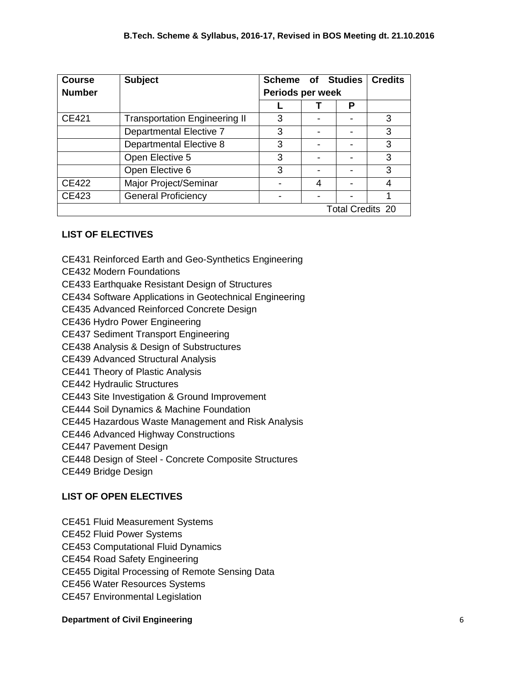| <b>Course</b> | <b>Subject</b>                       | <b>Scheme of Studies</b> |  |                         | <b>Credits</b> |
|---------------|--------------------------------------|--------------------------|--|-------------------------|----------------|
| <b>Number</b> |                                      | Periods per week         |  |                         |                |
|               |                                      |                          |  | Р                       |                |
| CE421         | <b>Transportation Engineering II</b> | 3                        |  |                         | 3              |
|               | Departmental Elective 7              | 3                        |  |                         | 3              |
|               | <b>Departmental Elective 8</b>       | 3                        |  |                         | 3              |
|               | Open Elective 5                      | 3                        |  |                         | 3              |
|               | Open Elective 6                      | 3                        |  |                         | 3              |
| <b>CE422</b>  | Major Project/Seminar                |                          |  |                         | 4              |
| <b>CE423</b>  | <b>General Proficiency</b>           |                          |  |                         |                |
|               |                                      |                          |  | <b>Total Credits 20</b> |                |

## **LIST OF ELECTIVES**

- CE431 Reinforced Earth and Geo-Synthetics Engineering
- CE432 Modern Foundations
- CE433 Earthquake Resistant Design of Structures
- CE434 Software Applications in Geotechnical Engineering
- CE435 Advanced Reinforced Concrete Design
- CE436 Hydro Power Engineering
- CE437 Sediment Transport Engineering
- CE438 Analysis & Design of Substructures
- CE439 Advanced Structural Analysis
- CE441 Theory of Plastic Analysis
- CE442 Hydraulic Structures
- CE443 Site Investigation & Ground Improvement
- CE444 Soil Dynamics & Machine Foundation
- CE445 Hazardous Waste Management and Risk Analysis
- CE446 Advanced Highway Constructions
- CE447 Pavement Design
- CE448 Design of Steel Concrete Composite Structures
- CE449 Bridge Design

## **LIST OF OPEN ELECTIVES**

- CE451 Fluid Measurement Systems
- CE452 Fluid Power Systems
- CE453 Computational Fluid Dynamics
- CE454 Road Safety Engineering
- CE455 Digital Processing of Remote Sensing Data
- CE456 Water Resources Systems
- CE457 Environmental Legislation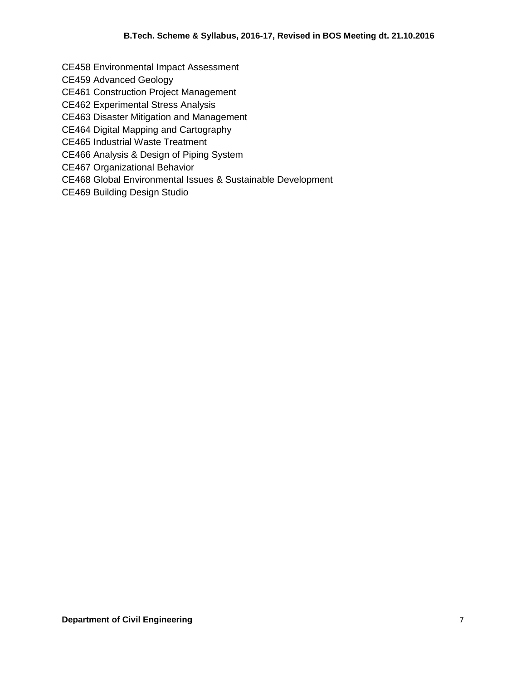CE458 Environmental Impact Assessment

CE459 Advanced Geology

CE461 Construction Project Management

CE462 Experimental Stress Analysis

CE463 Disaster Mitigation and Management

CE464 Digital Mapping and Cartography

CE465 Industrial Waste Treatment

CE466 Analysis & Design of Piping System

CE467 Organizational Behavior

CE468 Global Environmental Issues & Sustainable Development

CE469 Building Design Studio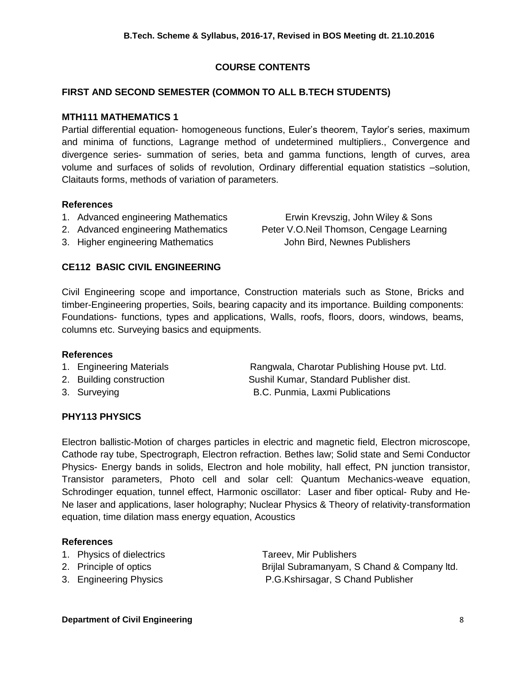## **COURSE CONTENTS**

## **FIRST AND SECOND SEMESTER (COMMON TO ALL B.TECH STUDENTS)**

## **MTH111 MATHEMATICS 1**

Partial differential equation- homogeneous functions, Euler's theorem, Taylor's series, maximum and minima of functions, Lagrange method of undetermined multipliers., Convergence and divergence series- summation of series, beta and gamma functions, length of curves, area volume and surfaces of solids of revolution, Ordinary differential equation statistics –solution, Claitauts forms, methods of variation of parameters.

#### **References**

- 1. Advanced engineering Mathematics Erwin Krevszig, John Wiley & Sons
- 2. Advanced engineering Mathematics Peter V.O.Neil Thomson, Cengage Learning
- 3. Higher engineering Mathematics John Bird, Newnes Publishers

## **CE112 BASIC CIVIL ENGINEERING**

Civil Engineering scope and importance, Construction materials such as Stone, Bricks and timber-Engineering properties, Soils, bearing capacity and its importance. Building components: Foundations- functions, types and applications, Walls, roofs, floors, doors, windows, beams, columns etc. Surveying basics and equipments.

#### **References**

- 1. Engineering Materials Rangwala, Charotar Publishing House pvt. Ltd.
- 2. Building construction Sushil Kumar, Standard Publisher dist. 3. Surveying **B.C. Punmia, Laxmi Publications**
- 

## **PHY113 PHYSICS**

Electron ballistic-Motion of charges particles in electric and magnetic field, Electron microscope, Cathode ray tube, Spectrograph, Electron refraction. Bethes law; Solid state and Semi Conductor Physics- Energy bands in solids, Electron and hole mobility, hall effect, PN junction transistor, Transistor parameters, Photo cell and solar cell: Quantum Mechanics-weave equation, Schrodinger equation, tunnel effect, Harmonic oscillator: Laser and fiber optical- Ruby and He-Ne laser and applications, laser holography; Nuclear Physics & Theory of relativity-transformation equation, time dilation mass energy equation, Acoustics

## **References**

- 1. Physics of dielectrics Tareev, Mir Publishers
- 
- 

2. Principle of optics **Example 3** Brijlal Subramanyam, S Chand & Company ltd. 3. Engineering Physics P.G.Kshirsagar, S Chand Publisher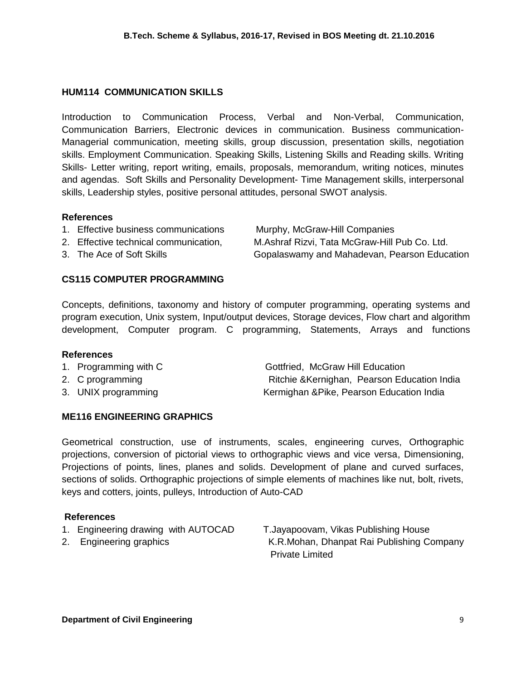#### **HUM114 COMMUNICATION SKILLS**

Introduction to Communication Process, Verbal and Non-Verbal, Communication, Communication Barriers, Electronic devices in communication. Business communication-Managerial communication, meeting skills, group discussion, presentation skills, negotiation skills. Employment Communication. Speaking Skills, Listening Skills and Reading skills. Writing Skills- Letter writing, report writing, emails, proposals, memorandum, writing notices, minutes and agendas. Soft Skills and Personality Development- Time Management skills, interpersonal skills, Leadership styles, positive personal attitudes, personal SWOT analysis.

#### **References**

- 1. Effective business communications Murphy, McGraw-Hill Companies
- -

2. Effective technical communication, M.Ashraf Rizvi, [Tata McGraw-Hill](https://books.google.co.in/url?id=xKKMiJXAWPMC&pg=PR2&q=http://www.tatamcgrawhill.com&clientid=ca-print-tata_mcgraw_hill&linkid=1&usg=AFQjCNGaTLIV67KSKuULeSEnq9j9hzHoLw&source=gbs_pub_info_r) Pub Co. Ltd. 3. The Ace of Soft Skills **Gopalaswamy and Mahadevan, Pearson Education** 

## **CS115 COMPUTER PROGRAMMING**

Concepts, definitions, taxonomy and history of computer programming, operating systems and program execution, Unix system, Input/output devices, Storage devices, Flow chart and algorithm development, Computer program. C programming, Statements, Arrays and functions

#### **References**

- 1. Programming with C Gottfried, McGraw Hill Education
- 
- 

2. C programming Ritchie &Kernighan, Pearson Education India 3. UNIX programming example and the Kermighan &Pike, Pearson Education India

## **ME116 ENGINEERING GRAPHICS**

Geometrical construction, use of instruments, scales, engineering curves, Orthographic projections, conversion of pictorial views to orthographic views and vice versa, Dimensioning, Projections of points, lines, planes and solids. Development of plane and curved surfaces, sections of solids. Orthographic projections of simple elements of machines like nut, bolt, rivets, keys and cotters, joints, pulleys, Introduction of Auto-CAD

## **References**

- 1. Engineering drawing with AUTOCAD T.Jayapoovam, Vikas Publishing House
- 

2. Engineering graphics **K.R.Mohan, Dhanpat Rai Publishing Company** Private Limited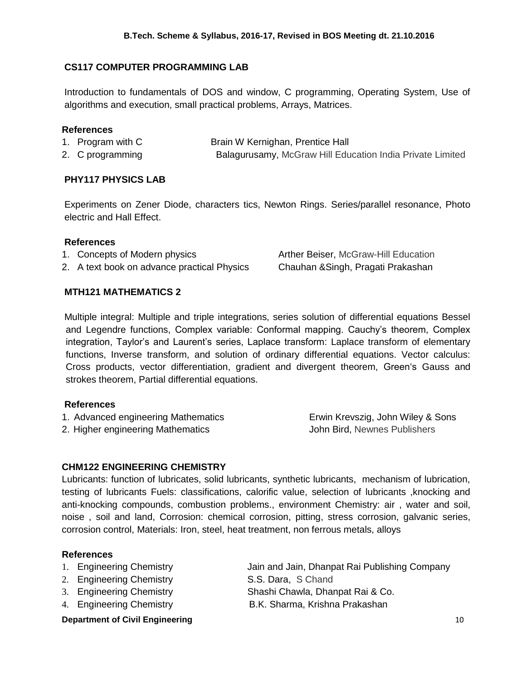## **CS117 COMPUTER PROGRAMMING LAB**

Introduction to fundamentals of DOS and window, C programming, Operating System, Use of algorithms and execution, small practical problems, Arrays, Matrices.

#### **References**

- 1. Program with C Brain W Kernighan, Prentice Hall 2. C programming **Balagurusamy, McGraw Hill Education India Private Limited**
- 

## **PHY117 PHYSICS LAB**

Experiments on Zener Diode, characters tics, Newton Rings. Series/parallel resonance, Photo electric and Hall Effect.

#### **References**

- 1. Concepts of Modern physics **Arther Beiser, McGraw-Hill Education**
- 2. A text book on advance practical Physics Chauhan &Singh, Pragati Prakashan

## **MTH121 MATHEMATICS 2**

Multiple integral: Multiple and triple integrations, series solution of differential equations Bessel and Legendre functions, Complex variable: Conformal mapping. Cauchy's theorem, Complex integration, Taylor's and Laurent's series, Laplace transform: Laplace transform of elementary functions, Inverse transform, and solution of ordinary differential equations. Vector calculus: Cross products, vector differentiation, gradient and divergent theorem, Green's Gauss and strokes theorem, Partial differential equations.

## **References**

- 1. Advanced engineering Mathematics Erwin Krevszig, John Wiley & Sons
- 2. Higher engineering Mathematics **John Bird, Newnes Publishers**

## **CHM122 ENGINEERING CHEMISTRY**

Lubricants: function of lubricates, solid lubricants, synthetic lubricants, mechanism of lubrication, testing of lubricants Fuels: classifications, calorific value, selection of lubricants ,knocking and anti-knocking compounds, combustion problems., environment Chemistry: air , water and soil, noise , soil and land, Corrosion: chemical corrosion, pitting, stress corrosion, galvanic series, corrosion control, Materials: Iron, steel, heat treatment, non ferrous metals, alloys

## **References**

- 
- 2. Engineering Chemistry S.S. Dara, S Chand
- 
- 4. Engineering Chemistry B.K. Sharma, Krishna Prakashan

1. Engineering Chemistry Jain and Jain, Dhanpat Rai Publishing Company 3. Engineering Chemistry Shashi Chawla, Dhanpat Rai & Co.

#### **Department of Civil Engineering 10 and 20 and 20 and 20 and 20 and 20 and 20 and 20 and 20 and 20 and 20 and 20 and 20 and 20 and 20 and 20 and 20 and 20 and 20 and 20 and 20 and 20 and 20 and 20 and 20 and 20 and 20 and**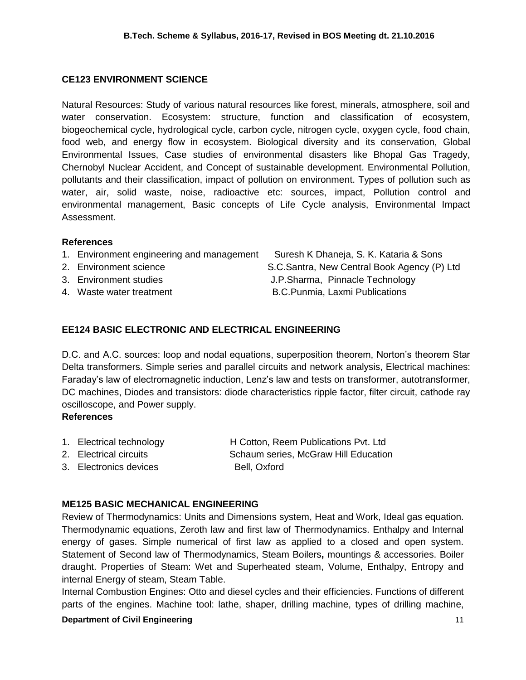## **CE123 ENVIRONMENT SCIENCE**

Natural Resources: Study of various natural resources like forest, minerals, atmosphere, soil and water conservation. Ecosystem: structure, function and classification of ecosystem, biogeochemical cycle, hydrological cycle, carbon cycle, nitrogen cycle, oxygen cycle, food chain, food web, and energy flow in ecosystem. Biological diversity and its conservation, Global Environmental Issues, Case studies of environmental disasters like Bhopal Gas Tragedy, Chernobyl Nuclear Accident, and Concept of sustainable development. Environmental Pollution, pollutants and their classification, impact of pollution on environment. Types of pollution such as water, air, solid waste, noise, radioactive etc: sources, impact, Pollution control and environmental management, Basic concepts of Life Cycle analysis, Environmental Impact Assessment.

#### **References**

| 1. Environment engineering and management | Suresh K Dhaneja, S. K. Kataria & Sons      |
|-------------------------------------------|---------------------------------------------|
| 2. Environment science                    | S.C.Santra, New Central Book Agency (P) Ltd |
| 3. Environment studies                    | J.P.Sharma, Pinnacle Technology             |
| 4. Waste water treatment                  | B.C. Punmia, Laxmi Publications             |
|                                           |                                             |

## **EE124 BASIC ELECTRONIC AND ELECTRICAL ENGINEERING**

D.C. and A.C. sources: loop and nodal equations, superposition theorem, Norton's theorem Star Delta transformers. Simple series and parallel circuits and network analysis, Electrical machines: Faraday's law of electromagnetic induction, Lenz's law and tests on transformer, autotransformer, DC machines, Diodes and transistors: diode characteristics ripple factor, filter circuit, cathode ray oscilloscope, and Power supply.

## **References**

- 1. Electrical technology H Cotton, Reem Publications Pvt. Ltd
- 
- 3. Electronics devices Bell, Oxford

2. Electrical circuits Schaum series, McGraw Hill Education

## **ME125 BASIC MECHANICAL ENGINEERING**

Review of Thermodynamics: Units and Dimensions system, Heat and Work, Ideal gas equation. Thermodynamic equations, Zeroth law and first law of Thermodynamics. Enthalpy and Internal energy of gases. Simple numerical of first law as applied to a closed and open system. Statement of Second law of Thermodynamics, Steam Boilers**,** mountings & accessories. Boiler draught. Properties of Steam: Wet and Superheated steam, Volume, Enthalpy, Entropy and internal Energy of steam, Steam Table.

Internal Combustion Engines: Otto and diesel cycles and their efficiencies. Functions of different parts of the engines. Machine tool: lathe, shaper, drilling machine, types of drilling machine,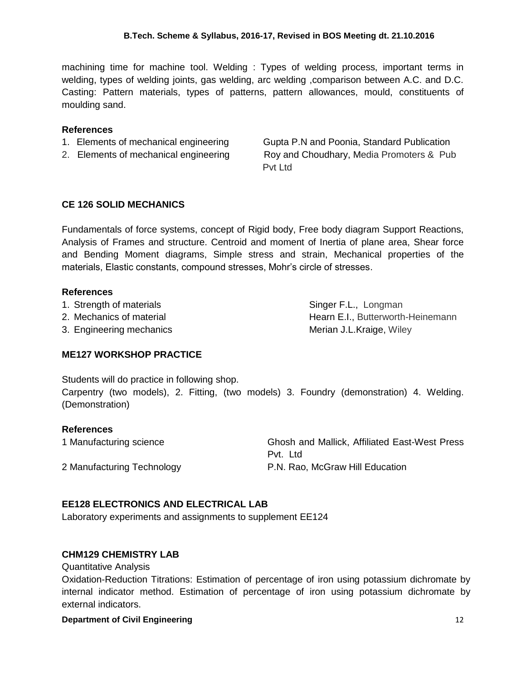machining time for machine tool. Welding : Types of welding process, important terms in welding, types of welding joints, gas welding, arc welding ,comparison between A.C. and D.C. Casting: Pattern materials, types of patterns, pattern allowances, mould, constituents of moulding sand.

## **References**

- 
- 

1. Elements of mechanical engineering Gupta P.N and Poonia, Standard Publication 2. Elements of mechanical engineering Roy and Choudhary, Media Promoters & Pub Pvt Ltd

## **CE 126 SOLID MECHANICS**

Fundamentals of force systems, concept of Rigid body, Free body diagram Support Reactions, Analysis of Frames and structure. Centroid and moment of Inertia of plane area, Shear force and Bending Moment diagrams, Simple stress and strain, Mechanical properties of the materials, Elastic constants, compound stresses, Mohr's circle of stresses.

## **References**

1. Strength of materials **Singer F.L., Longman** 

2. Mechanics of material example and the Hearn E.I., Butterworth-Heinemann

3. Engineering mechanics Merian J.L.Kraige, Wiley

## **ME127 WORKSHOP PRACTICE**

Students will do practice in following shop.

Carpentry (two models), 2. Fitting, (two models) 3. Foundry (demonstration) 4. Welding. (Demonstration)

## **References**

| 1 Manufacturing science    | Ghosh and Mallick, Affiliated East-West Press |
|----------------------------|-----------------------------------------------|
|                            | Pvt. Ltd.                                     |
| 2 Manufacturing Technology | P.N. Rao, McGraw Hill Education               |

## **EE128 ELECTRONICS AND ELECTRICAL LAB**

Laboratory experiments and assignments to supplement EE124

## **CHM129 CHEMISTRY LAB**

Quantitative Analysis

Oxidation-Reduction Titrations: Estimation of percentage of iron using potassium dichromate by internal indicator method. Estimation of percentage of iron using potassium dichromate by external indicators.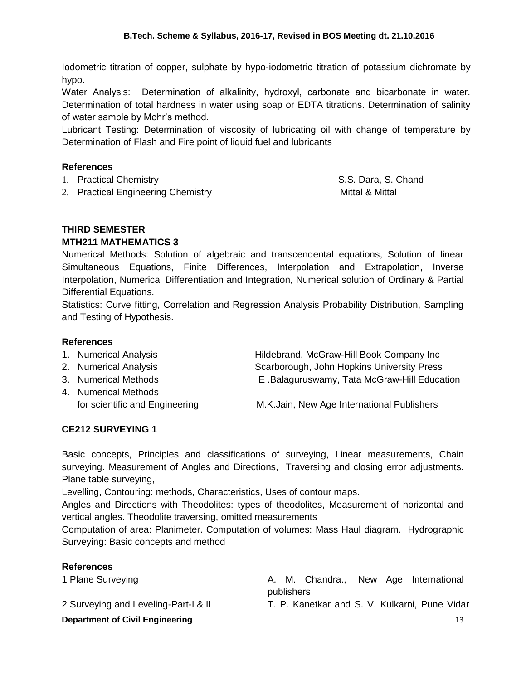Iodometric titration of copper, sulphate by hypo-iodometric titration of potassium dichromate by hypo.

Water Analysis: Determination of alkalinity, hydroxyl, carbonate and bicarbonate in water. Determination of total hardness in water using soap or EDTA titrations. Determination of salinity of water sample by Mohr's method.

Lubricant Testing: Determination of viscosity of lubricating oil with change of temperature by Determination of Flash and Fire point of liquid fuel and lubricants

## **References**

- 1. Practical Chemistry **S.S. Dara, S. Chand**
- 2. Practical Engineering Chemistry **Mittal & Mittal & Mittal & Mittal**

## **THIRD SEMESTER**

## **MTH211 MATHEMATICS 3**

Numerical Methods: Solution of algebraic and transcendental equations, Solution of linear Simultaneous Equations, Finite Differences, Interpolation and Extrapolation, Inverse Interpolation, Numerical Differentiation and Integration, Numerical solution of Ordinary & Partial Differential Equations.

Statistics: Curve fitting, Correlation and Regression Analysis Probability Distribution, Sampling and Testing of Hypothesis.

## **References**

- 1. Numerical Analysis **Hildebrand, McGraw-Hill Book Company Inc**
- 2. Numerical Analysis Scarborough, John Hopkins University Press 3. Numerical Methods E .Balaguruswamy, Tata McGraw-Hill Education
- 4. Numerical Methods for scientific and Engineering M.K.Jain, New Age International Publishers

## **CE212 SURVEYING 1**

Basic concepts, Principles and classifications of surveying, Linear measurements, Chain surveying. Measurement of Angles and Directions, Traversing and closing error adjustments. Plane table surveying,

Levelling, Contouring: methods, Characteristics, Uses of contour maps.

Angles and Directions with Theodolites: types of theodolites, Measurement of horizontal and vertical angles. Theodolite traversing, omitted measurements

Computation of area: Planimeter. Computation of volumes: Mass Haul diagram. Hydrographic Surveying: Basic concepts and method

| <b>References</b>                           |  |  |
|---------------------------------------------|--|--|
| $\triangle$ District Comparable $\triangle$ |  |  |

2 Surveying and Leveling-Part-I & II T. P. Kanetkar and S. V. Kulkarni, Pune Vidar

1 Plane Surveying **A. M. Chandra., New Age International** publishers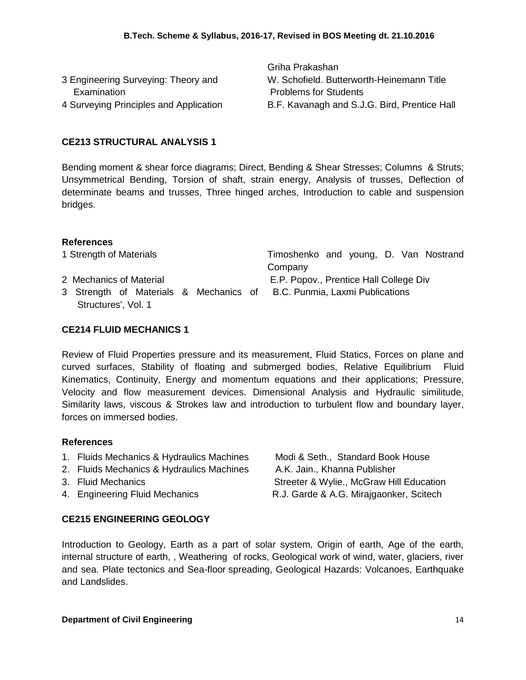Griha Prakashan

| 3 Engineering Surveying: Theory and    | W. Schofield. Butterworth-Heinemann Title    |
|----------------------------------------|----------------------------------------------|
| Examination                            | <b>Problems for Students</b>                 |
| 4 Surveying Principles and Application | B.F. Kavanagh and S.J.G. Bird, Prentice Hall |
|                                        |                                              |

#### **CE213 STRUCTURAL ANALYSIS 1**

Bending moment & shear force diagrams; Direct, Bending & Shear Stresses; Columns & Struts; Unsymmetrical Bending, Torsion of shaft, strain energy, Analysis of trusses, Deflection of determinate beams and trusses, Three hinged arches, Introduction to cable and suspension bridges.

#### **References**

| 1 Strength of Materials                                                |  | Timoshenko and young, D. Van Nostrand  |  |  |  |
|------------------------------------------------------------------------|--|----------------------------------------|--|--|--|
|                                                                        |  | Company                                |  |  |  |
| 2 Mechanics of Material                                                |  | E.P. Popov., Prentice Hall College Div |  |  |  |
| 3 Strength of Materials & Mechanics of B.C. Punmia, Laxmi Publications |  |                                        |  |  |  |
| Structures', Vol. 1                                                    |  |                                        |  |  |  |

#### **CE214 FLUID MECHANICS 1**

Review of Fluid Properties pressure and its measurement, Fluid Statics, Forces on plane and curved surfaces, Stability of floating and submerged bodies, Relative Equilibrium Fluid Kinematics, Continuity, Energy and momentum equations and their applications; Pressure, Velocity and flow measurement devices. Dimensional Analysis and Hydraulic similitude, Similarity laws, viscous & Strokes law and introduction to turbulent flow and boundary layer, forces on immersed bodies.

#### **References**

- 1. Fluids Mechanics & Hydraulics Machines Modi & Seth., Standard Book House
- 2. Fluids Mechanics & Hydraulics Machines A.K. Jain., Khanna Publisher
- 
- 

3. Fluid Mechanics **Streeter & Wylie., McGraw Hill Education** 4. Engineering Fluid Mechanics R.J. Garde & A.G. Mirajgaonker, Scitech

## **CE215 ENGINEERING GEOLOGY**

Introduction to Geology, Earth as a part of solar system, Origin of earth, Age of the earth, internal structure of earth, , Weathering of rocks, Geological work of wind, water, glaciers, river and sea. Plate tectonics and Sea-floor spreading, Geological Hazards: Volcanoes, Earthquake and Landslides.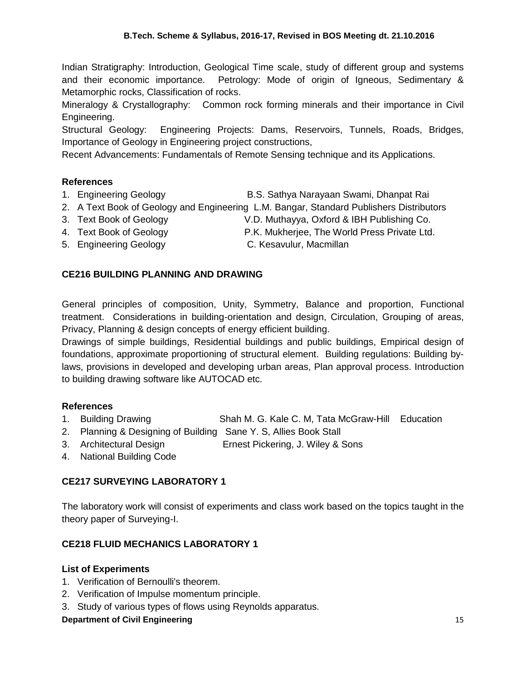Indian Stratigraphy: Introduction, Geological Time scale, study of different group and systems and their economic importance. Petrology: Mode of origin of Igneous, Sedimentary & Metamorphic rocks, Classification of rocks.

Mineralogy & Crystallography: Common rock forming minerals and their importance in Civil Engineering.

Structural Geology: Engineering Projects: Dams, Reservoirs, Tunnels, Roads, Bridges, Importance of Geology in Engineering project constructions,

Recent Advancements: Fundamentals of Remote Sensing technique and its Applications.

## **References**

- 1. Engineering Geology B.S. Sathya Narayaan Swami, Dhanpat Rai
- 2. A Text Book of Geology and Engineering L.M. Bangar, Standard Publishers Distributors
- 
- 3. Text Book of Geology V.D. Muthayya, Oxford & IBH Publishing Co.
- 
- 4. Text Book of Geology P.K. Mukherjee, The World Press Private Ltd.
- 5. Engineering Geology C. Kesavulur, Macmillan
	-

## **CE216 BUILDING PLANNING AND DRAWING**

General principles of composition, Unity, Symmetry, Balance and proportion, Functional treatment. Considerations in building-orientation and design, Circulation, Grouping of areas, Privacy, Planning & design concepts of energy efficient building.

Drawings of simple buildings, Residential buildings and public buildings, Empirical design of foundations, approximate proportioning of structural element. Building regulations: Building bylaws, provisions in developed and developing urban areas, Plan approval process. Introduction to building drawing software like AUTOCAD etc.

## **References**

- 1. Building Drawing Shah M. G. Kale C. M, Tata McGraw-Hill Education
- 2. Planning & Designing of Building Sane Y. S, Allies Book Stall
- 3. Architectural Design Ernest Pickering, J. Wiley & Sons
- 4. National Building Code

## **CE217 SURVEYING LABORATORY 1**

The laboratory work will consist of experiments and class work based on the topics taught in the theory paper of Surveying-I.

## **CE218 FLUID MECHANICS LABORATORY 1**

## **List of Experiments**

- 1. Verification of Bernoulli's theorem.
- 2. Verification of Impulse momentum principle.
- 3. Study of various types of flows using Reynolds apparatus.

## **Department of Civil Engineering 15 and 200 and 200 and 200 and 200 and 200 and 200 and 200 and 200 and 200 and 200 and 200 and 200 and 200 and 200 and 200 and 200 and 200 and 200 and 200 and 200 and 200 and 200 and 200 an**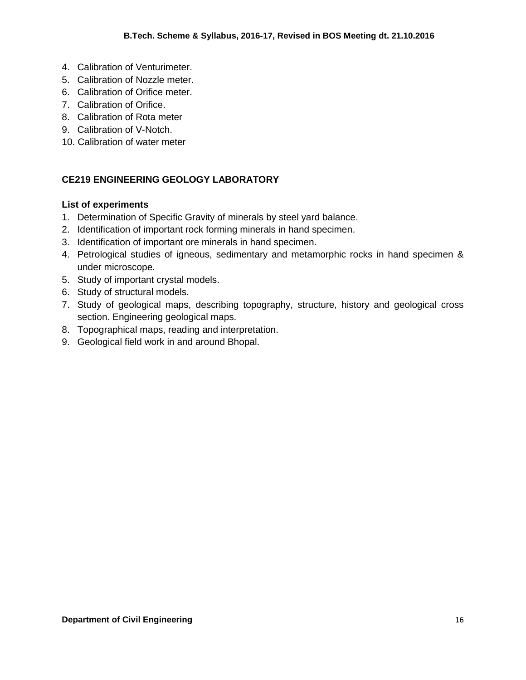- 4. Calibration of Venturimeter.
- 5. Calibration of Nozzle meter.
- 6. Calibration of Orifice meter.
- 7. Calibration of Orifice.
- 8. Calibration of Rota meter
- 9. Calibration of V-Notch.
- 10. Calibration of water meter

## **CE219 ENGINEERING GEOLOGY LABORATORY**

## **List of experiments**

- 1. Determination of Specific Gravity of minerals by steel yard balance.
- 2. Identification of important rock forming minerals in hand specimen.
- 3. Identification of important ore minerals in hand specimen.
- 4. Petrological studies of igneous, sedimentary and metamorphic rocks in hand specimen & under microscope.
- 5. Study of important crystal models.
- 6. Study of structural models.
- 7. Study of geological maps, describing topography, structure, history and geological cross section. Engineering geological maps.
- 8. Topographical maps, reading and interpretation.
- 9. Geological field work in and around Bhopal.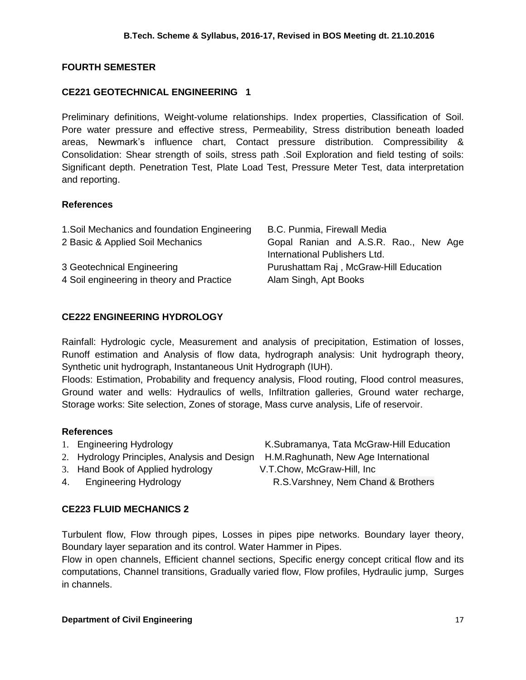## **FOURTH SEMESTER**

## **CE221 GEOTECHNICAL ENGINEERING 1**

Preliminary definitions, Weight-volume relationships. Index properties, Classification of Soil. Pore water pressure and effective stress, Permeability, Stress distribution beneath loaded areas, Newmark's influence chart, Contact pressure distribution. Compressibility & Consolidation: Shear strength of soils, stress path .Soil Exploration and field testing of soils: Significant depth. Penetration Test, Plate Load Test, Pressure Meter Test, data interpretation and reporting.

## **References**

| 1. Soil Mechanics and foundation Engineering | B.C. Punmia, Firewall Media            |
|----------------------------------------------|----------------------------------------|
| 2 Basic & Applied Soil Mechanics             | Gopal Ranian and A.S.R. Rao., New Age  |
|                                              | International Publishers Ltd.          |
| 3 Geotechnical Engineering                   | Purushattam Raj, McGraw-Hill Education |
| 4 Soil engineering in theory and Practice    | Alam Singh, Apt Books                  |

## **CE222 ENGINEERING HYDROLOGY**

Rainfall: Hydrologic cycle, Measurement and analysis of precipitation, Estimation of losses, Runoff estimation and Analysis of flow data, hydrograph analysis: Unit hydrograph theory, Synthetic unit hydrograph, Instantaneous Unit Hydrograph (IUH).

Floods: Estimation, Probability and frequency analysis, Flood routing, Flood control measures, Ground water and wells: Hydraulics of wells, Infiltration galleries, Ground water recharge, Storage works: Site selection, Zones of storage, Mass curve analysis, Life of reservoir.

## **References**

- 1. Engineering Hydrology K.Subramanya, Tata McGraw-Hill Education
- 2. Hydrology Principles, Analysis and Design H.M.Raghunath, New Age International
- 3. Hand Book of Applied hydrology V.T.Chow, McGraw-Hill, Inc
- 

4. Engineering Hydrology R.S.Varshney, Nem Chand & Brothers

## **CE223 FLUID MECHANICS 2**

Turbulent flow, Flow through pipes, Losses in pipes pipe networks. Boundary layer theory, Boundary layer separation and its control. Water Hammer in Pipes.

Flow in open channels, Efficient channel sections, Specific energy concept critical flow and its computations, Channel transitions, Gradually varied flow, Flow profiles, Hydraulic jump, Surges in channels.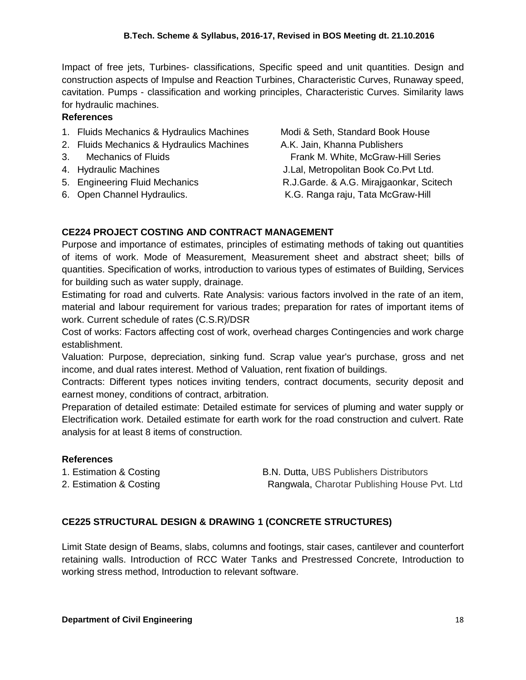Impact of free jets, Turbines- classifications, Specific speed and unit quantities. Design and construction aspects of Impulse and Reaction Turbines, Characteristic Curves, Runaway speed, cavitation. Pumps - classification and working principles, Characteristic Curves. Similarity laws for hydraulic machines.

## **References**

- 1. Fluids Mechanics & Hydraulics Machines Modi & Seth, Standard Book House
- 2. Fluids Mechanics & Hydraulics Machines A.K. Jain, Khanna Publishers
- 
- 
- 
- 

3. Mechanics of Fluids Frank M. White, McGraw-Hill Series 4. Hydraulic Machines J.Lal, Metropolitan Book Co.Pvt Ltd. 5. Engineering Fluid Mechanics R.J.Garde. & A.G. Mirajgaonkar, Scitech 6. Open Channel Hydraulics. K.G. Ranga raju, Tata McGraw-Hill

## **CE224 PROJECT COSTING AND CONTRACT MANAGEMENT**

Purpose and importance of estimates, principles of estimating methods of taking out quantities of items of work. Mode of Measurement, Measurement sheet and abstract sheet; bills of quantities. Specification of works, introduction to various types of estimates of Building, Services for building such as water supply, drainage.

Estimating for road and culverts. Rate Analysis: various factors involved in the rate of an item, material and labour requirement for various trades; preparation for rates of important items of work. Current schedule of rates (C.S.R)/DSR

Cost of works: Factors affecting cost of work, overhead charges Contingencies and work charge establishment.

Valuation: Purpose, depreciation, sinking fund. Scrap value year's purchase, gross and net income, and dual rates interest. Method of Valuation, rent fixation of buildings.

Contracts: Different types notices inviting tenders, contract documents, security deposit and earnest money, conditions of contract, arbitration.

Preparation of detailed estimate: Detailed estimate for services of pluming and water supply or Electrification work. Detailed estimate for earth work for the road construction and culvert. Rate analysis for at least 8 items of construction.

## **References**

1. Estimation & Costing The B.N. Dutta, UBS Publishers Distributors 2. Estimation & Costing The Rangwala, Charotar Publishing House Pvt. Ltd

## **CE225 STRUCTURAL DESIGN & DRAWING 1 (CONCRETE STRUCTURES)**

Limit State design of Beams, slabs, columns and footings, stair cases, cantilever and counterfort retaining walls. Introduction of RCC Water Tanks and Prestressed Concrete, Introduction to working stress method, Introduction to relevant software.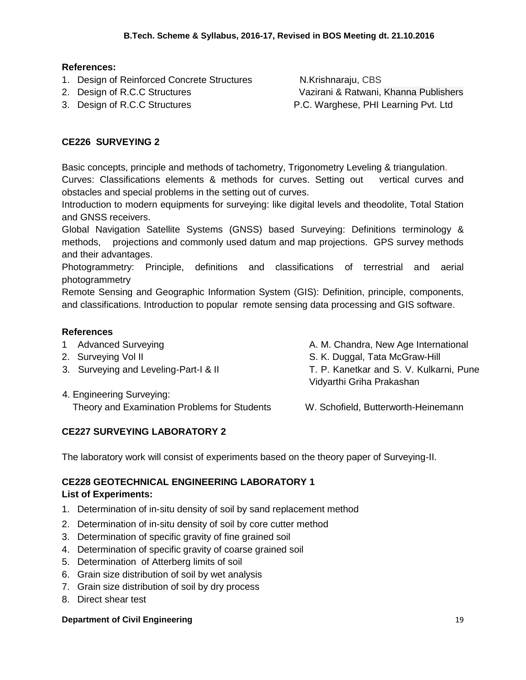## **References:**

- 1. Design of Reinforced Concrete Structures N.Krishnaraju, CBS
- 
- 

2. Design of R.C.C Structures Vazirani & Ratwani, Khanna Publishers 3. Design of R.C.C Structures **P.C. Warghese, PHI Learning Pvt.** Ltd

## **CE226 SURVEYING 2**

Basic concepts, principle and methods of tachometry, Trigonometry Leveling & triangulation. Curves: Classifications elements & methods for curves. Setting out vertical curves and obstacles and special problems in the setting out of curves.

Introduction to modern equipments for surveying: like digital levels and theodolite, Total Station and GNSS receivers.

Global Navigation Satellite Systems (GNSS) based Surveying: Definitions terminology & methods, projections and commonly used datum and map projections. GPS survey methods and their advantages.

Photogrammetry: Principle, definitions and classifications of terrestrial and aerial photogrammetry

Remote Sensing and Geographic Information System (GIS): Definition, principle, components, and classifications. Introduction to popular remote sensing data processing and GIS software.

## **References**

- 
- 
- 
- 4. Engineering Surveying:
- 1 Advanced Surveying **A. M. Chandra, New Age International**
- 2. Surveying Vol II Same S. K. Duggal, Tata McGraw-Hill
- 3. Surveying and Leveling-Part-I & II T. P. Kanetkar and S. V. Kulkarni, Pune Vidyarthi Griha Prakashan
	- Theory and Examination Problems for Students W. Schofield, Butterworth-Heinemann

## **CE227 SURVEYING LABORATORY 2**

The laboratory work will consist of experiments based on the theory paper of Surveying-II.

## **CE228 GEOTECHNICAL ENGINEERING LABORATORY 1**

## **List of Experiments:**

- 1. Determination of in-situ density of soil by sand replacement method
- 2. Determination of in-situ density of soil by core cutter method
- 3. Determination of specific gravity of fine grained soil
- 4. Determination of specific gravity of coarse grained soil
- 5. Determination of Atterberg limits of soil
- 6. Grain size distribution of soil by wet analysis
- 7. Grain size distribution of soil by dry process
- 8. Direct shear test

#### **Department of Civil Engineering 19 and 200 and 200 and 200 and 200 and 200 and 200 and 200 and 200 and 200 and 200 and 200 and 200 and 200 and 200 and 200 and 200 and 200 and 200 and 200 and 200 and 200 and 200 and 200 an**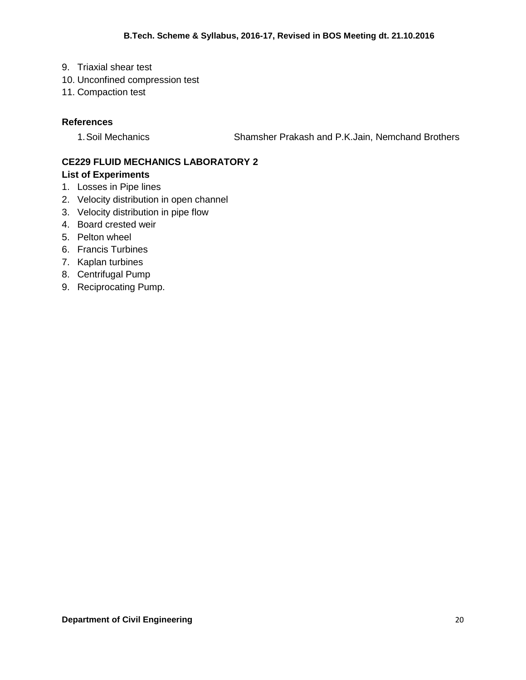- 9. Triaxial shear test
- 10. Unconfined compression test
- 11. Compaction test

## **References**

1.Soil Mechanics Shamsher Prakash and P.K.Jain, Nemchand Brothers

## **CE229 FLUID MECHANICS LABORATORY 2 List of Experiments**

- 1. Losses in Pipe lines
- 2. Velocity distribution in open channel
- 3. Velocity distribution in pipe flow
- 4. Board crested weir
- 5. Pelton wheel
- 6. Francis Turbines
- 7. Kaplan turbines
- 8. Centrifugal Pump
- 9. Reciprocating Pump.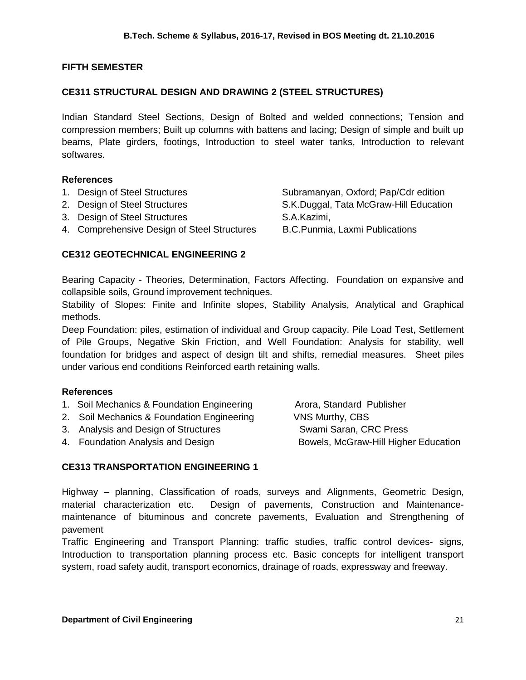## **FIFTH SEMESTER**

## **CE311 STRUCTURAL DESIGN AND DRAWING 2 (STEEL STRUCTURES)**

Indian Standard Steel Sections, Design of Bolted and welded connections; Tension and compression members; Built up columns with battens and lacing; Design of simple and built up beams, Plate girders, footings, Introduction to steel water tanks, Introduction to relevant softwares.

#### **References**

- 1. Design of Steel Structures Subramanyan, Oxford; Pap/Cdr edition
- 
- 3. Design of Steel Structures S.A.Kazimi,
- 4. Comprehensive Design of Steel Structures B.C.Punmia, Laxmi Publications

## **CE312 GEOTECHNICAL ENGINEERING 2**

Bearing Capacity - Theories, Determination, Factors Affecting. Foundation on expansive and collapsible soils, Ground improvement techniques.

Stability of Slopes: Finite and Infinite slopes, Stability Analysis, Analytical and Graphical methods.

Deep Foundation: piles, estimation of individual and Group capacity. Pile Load Test, Settlement of Pile Groups, Negative Skin Friction, and Well Foundation: Analysis for stability, well foundation for bridges and aspect of design tilt and shifts, remedial measures. Sheet piles under various end conditions Reinforced earth retaining walls.

#### **References**

- 1. Soil Mechanics & Foundation Engineering Arora, Standard Publisher
- 2. Soil Mechanics & Foundation Engineering VNS Murthy, CBS
- 3. Analysis and Design of Structures Swami Saran, CRC Press

4. Foundation Analysis and Design Bowels, McGraw-Hill Higher Education

## **CE313 TRANSPORTATION ENGINEERING 1**

Highway – planning, Classification of roads, surveys and Alignments, Geometric Design, material characterization etc. Design of pavements, Construction and Maintenancemaintenance of bituminous and concrete pavements, Evaluation and Strengthening of pavement

Traffic Engineering and Transport Planning: traffic studies, traffic control devices- signs, Introduction to transportation planning process etc. Basic concepts for intelligent transport system, road safety audit, transport economics, drainage of roads, expressway and freeway.

2. Design of Steel Structures S.K.Duggal, Tata McGraw-Hill Education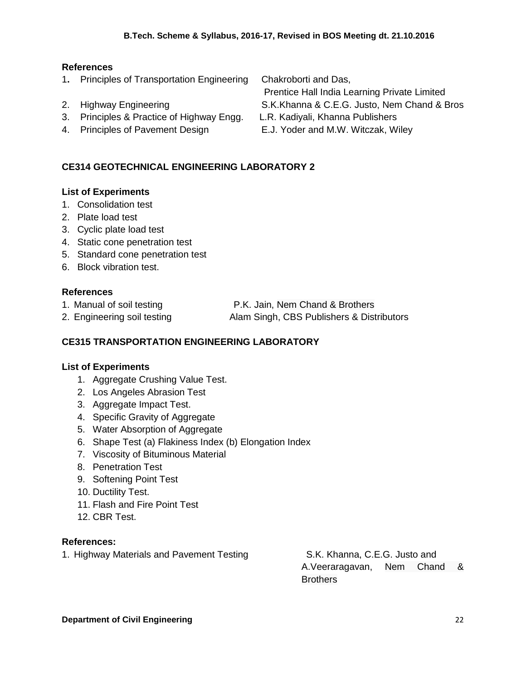## **References**

1**.** Principles of Transportation Engineering Chakroborti and Das,

Prentice Hall India Learning Private Limited

- 2. Highway Engineering S.K.Khanna & C.E.G. Justo, Nem Chand & Bros
- 3. Principles & Practice of Highway Engg. L.R. Kadiyali, Khanna Publishers
- 4. Principles of Pavement Design E.J. Yoder and M.W. Witczak, Wiley

## **CE314 GEOTECHNICAL ENGINEERING LABORATORY 2**

## **List of Experiments**

- 1. Consolidation test
- 2. Plate load test
- 3. Cyclic plate load test
- 4. Static cone penetration test
- 5. Standard cone penetration test
- 6. Block vibration test.

## **References**

1. Manual of soil testing P.K. Jain, Nem Chand & Brothers

2. Engineering soil testing **Alam Singh, CBS Publishers & Distributors** 

## **CE315 TRANSPORTATION ENGINEERING LABORATORY**

## **List of Experiments**

- 1. Aggregate Crushing Value Test.
- 2. Los Angeles Abrasion Test
- 3. Aggregate Impact Test.
- 4. Specific Gravity of Aggregate
- 5. Water Absorption of Aggregate
- 6. Shape Test (a) Flakiness Index (b) Elongation Index
- 7. Viscosity of Bituminous Material
- 8. Penetration Test
- 9. Softening Point Test
- 10. Ductility Test.
- 11. Flash and Fire Point Test
- 12. CBR Test.

## **References:**

1. Highway Materials and Pavement Testing S.K. Khanna, C.E.G. Justo and

A.Veeraragavan, Nem Chand & **Brothers**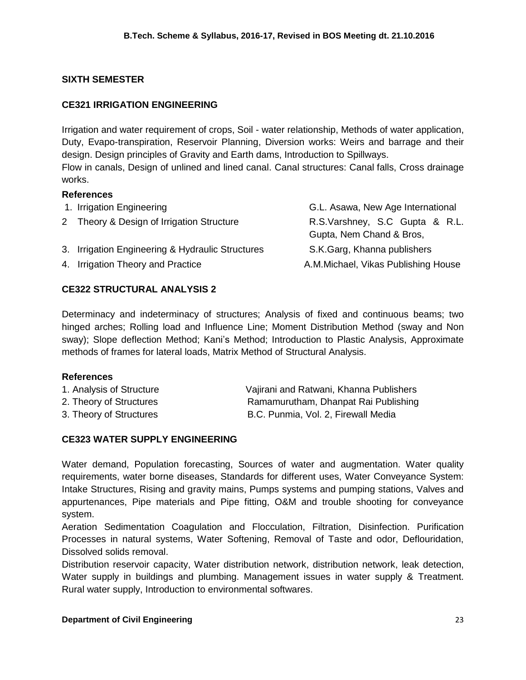## **SIXTH SEMESTER**

## **CE321 IRRIGATION ENGINEERING**

Irrigation and water requirement of crops, Soil - water relationship, Methods of water application, Duty, Evapo-transpiration, Reservoir Planning, Diversion works: Weirs and barrage and their design. Design principles of Gravity and Earth dams, Introduction to Spillways. Flow in canals, Design of unlined and lined canal. Canal structures: Canal falls, Cross drainage works.

## **References**

| G.L. Asawa, New Age International                                                                                                                               |
|-----------------------------------------------------------------------------------------------------------------------------------------------------------------|
| R.S.Varshney, S.C Gupta & R.L.                                                                                                                                  |
| Gupta, Nem Chand & Bros,                                                                                                                                        |
| S.K.Garg, Khanna publishers                                                                                                                                     |
| A.M.Michael, Vikas Publishing House                                                                                                                             |
| 1. Irrigation Engineering<br>2 Theory & Design of Irrigation Structure<br>3. Irrigation Engineering & Hydraulic Structures<br>4. Irrigation Theory and Practice |

## **CE322 STRUCTURAL ANALYSIS 2**

Determinacy and indeterminacy of structures; Analysis of fixed and continuous beams; two hinged arches; Rolling load and Influence Line; Moment Distribution Method (sway and Non sway); Slope deflection Method; Kani's Method; Introduction to Plastic Analysis, Approximate methods of frames for lateral loads, Matrix Method of Structural Analysis.

## **References**

| 1. Analysis of Structure | Vajirani and Ratwani, Khanna Publishers |
|--------------------------|-----------------------------------------|
| 2. Theory of Structures  | Ramamurutham, Dhanpat Rai Publishing    |
| 3. Theory of Structures  | B.C. Punmia, Vol. 2, Firewall Media     |

## **CE323 WATER SUPPLY ENGINEERING**

Water demand, Population forecasting, Sources of water and augmentation. Water quality requirements, water borne diseases, Standards for different uses, Water Conveyance System: Intake Structures, Rising and gravity mains, Pumps systems and pumping stations, Valves and appurtenances, Pipe materials and Pipe fitting, O&M and trouble shooting for conveyance system.

Aeration Sedimentation Coagulation and Flocculation, Filtration, Disinfection. Purification Processes in natural systems, Water Softening, Removal of Taste and odor, Deflouridation, Dissolved solids removal.

Distribution reservoir capacity, Water distribution network, distribution network, leak detection, Water supply in buildings and plumbing. Management issues in water supply & Treatment. Rural water supply, Introduction to environmental softwares.

## **Department of Civil Engineering 23 and 23 and 24 and 24 and 24 and 24 and 24 and 25 and 26 and 23 and 23 and 23 and 23 and 23 and 24 and 25 and 26 and 26 and 26 and 26 and 26 and 26 and 26 and 27 and 27 and 27 and 27 and**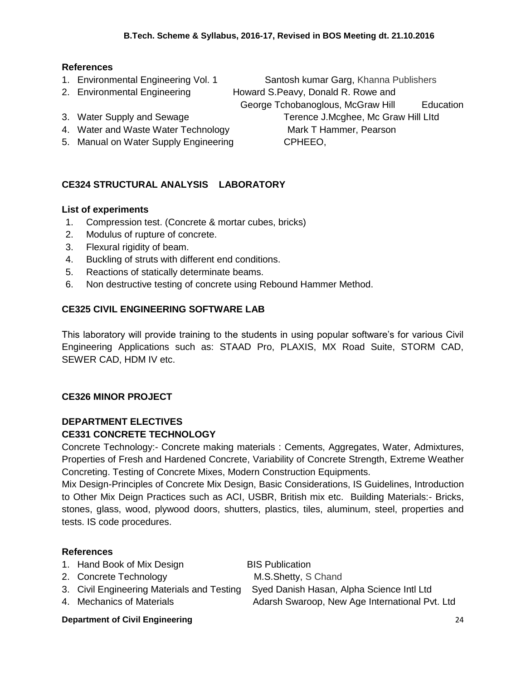## **References**

- 
- 

- 4. Water and Waste Water Technology Mark T Hammer, Pearson
- 5. Manual on Water Supply Engineering CPHEEO,

## **CE324 STRUCTURAL ANALYSIS LABORATORY**

#### **List of experiments**

- 1. Compression test. (Concrete & mortar cubes, bricks)
- 2. Modulus of rupture of concrete.
- 3. Flexural rigidity of beam.
- 4. Buckling of struts with different end conditions.
- 5. Reactions of statically determinate beams.
- 6. Non destructive testing of concrete using Rebound Hammer Method.

## **CE325 CIVIL ENGINEERING SOFTWARE LAB**

This laboratory will provide training to the students in using popular software's for various Civil Engineering Applications such as: STAAD Pro, PLAXIS, MX Road Suite, STORM CAD, SEWER CAD, HDM IV etc.

## **CE326 MINOR PROJECT**

#### **DEPARTMENT ELECTIVES CE331 CONCRETE TECHNOLOGY**

Concrete Technology:- Concrete making materials : Cements, Aggregates, Water, Admixtures, Properties of Fresh and Hardened Concrete, Variability of Concrete Strength, Extreme Weather Concreting. Testing of Concrete Mixes, Modern Construction Equipments.

Mix Design-Principles of Concrete Mix Design, Basic Considerations, IS Guidelines, Introduction to Other Mix Deign Practices such as ACI, USBR, British mix etc. Building Materials:- Bricks, stones, glass, wood, plywood doors, shutters, plastics, tiles, aluminum, steel, properties and tests. IS code procedures.

#### **References**

- 1. Hand Book of Mix Design BIS Publication
- 2. Concrete Technology M.S.Shetty, S Chand
- 
- 

3. Civil Engineering Materials and Testing Syed Danish Hasan, Alpha Science Intl Ltd 4. Mechanics of Materials **Adarsh Swaroop, New Age International Pvt. Ltd** 

#### **Department of Civil Engineering 24 and 24 and 24 and 24 and 24 and 24 and 24 and 24 and 24 and 24 and 24 and 24 and 25 and 26 and 26 and 26 and 26 and 26 and 26 and 26 and 26 and 26 and 26 and 26 and 26 and 26 and 26 and**

1. Environmental Engineering Vol. 1 Santosh kumar Garg, Khanna Publishers 2. Environmental Engineering Howard S.Peavy, Donald R. Rowe and George Tchobanoglous, McGraw Hill Education 3. Water Supply and Sewage Terence J.Mcghee, Mc Graw Hill Litd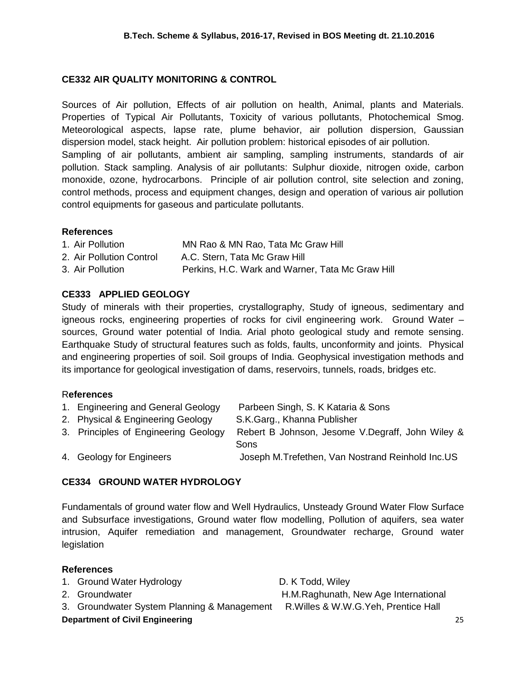## **CE332 AIR QUALITY MONITORING & CONTROL**

Sources of Air pollution, Effects of air pollution on health, Animal, plants and Materials. Properties of Typical Air Pollutants, Toxicity of various pollutants, Photochemical Smog. Meteorological aspects, lapse rate, plume behavior, air pollution dispersion, Gaussian dispersion model, stack height. Air pollution problem: historical episodes of air pollution. Sampling of air pollutants, ambient air sampling, sampling instruments, standards of air pollution. Stack sampling. Analysis of air pollutants: Sulphur dioxide, nitrogen oxide, carbon monoxide, ozone, hydrocarbons. Principle of air pollution control, site selection and zoning, control methods, process and equipment changes, design and operation of various air pollution control equipments for gaseous and particulate pollutants.

## **References**

| 1. Air Pollution         | MN Rao & MN Rao, Tata Mc Graw Hill               |
|--------------------------|--------------------------------------------------|
| 2. Air Pollution Control | A.C. Stern, Tata Mc Graw Hill                    |
| 3. Air Pollution         | Perkins, H.C. Wark and Warner, Tata Mc Graw Hill |

## **CE333 APPLIED GEOLOGY**

Study of minerals with their properties, crystallography, Study of igneous, sedimentary and igneous rocks, engineering properties of rocks for civil engineering work. Ground Water – sources, Ground water potential of India. Arial photo geological study and remote sensing. Earthquake Study of structural features such as folds, faults, unconformity and joints. Physical and engineering properties of soil. Soil groups of India. Geophysical investigation methods and its importance for geological investigation of dams, reservoirs, tunnels, roads, bridges etc.

## R**eferences**

| 1. Engineering and General Geology   | Parbeen Singh, S. K Kataria & Sons                |
|--------------------------------------|---------------------------------------------------|
| 2. Physical & Engineering Geology    | S.K.Garg., Khanna Publisher                       |
| 3. Principles of Engineering Geology | Rebert B Johnson, Jesome V. Degraff, John Wiley & |
|                                      | Sons                                              |
| 4. Geology for Engineers             | Joseph M. Trefethen, Van Nostrand Reinhold Inc.US |

## **CE334 GROUND WATER HYDROLOGY**

Fundamentals of ground water flow and Well Hydraulics, Unsteady Ground Water Flow Surface and Subsurface investigations, Ground water flow modelling, Pollution of aquifers, sea water intrusion, Aquifer remediation and management, Groundwater recharge, Ground water legislation

| 1. Ground Water Hydrology                   | D. K Todd, Wiley                      |    |
|---------------------------------------------|---------------------------------------|----|
| 2. Groundwater                              | H.M.Raghunath, New Age International  |    |
| 3. Groundwater System Planning & Management | R. Willes & W.W.G. Yeh, Prentice Hall |    |
| <b>Department of Civil Engineering</b>      |                                       | 25 |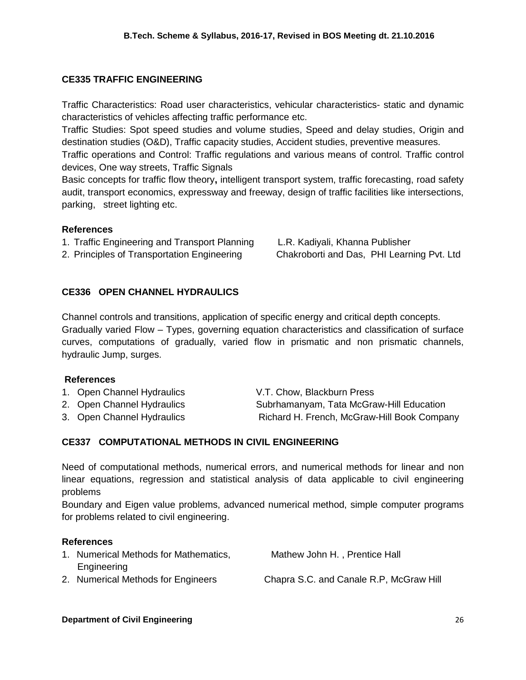## **CE335 TRAFFIC ENGINEERING**

Traffic Characteristics: Road user characteristics, vehicular characteristics- static and dynamic characteristics of vehicles affecting traffic performance etc.

Traffic Studies: Spot speed studies and volume studies, Speed and delay studies, Origin and destination studies (O&D), Traffic capacity studies, Accident studies, preventive measures.

Traffic operations and Control: Traffic regulations and various means of control. Traffic control devices, One way streets, Traffic Signals

Basic concepts for traffic flow theory**,** intelligent transport system, traffic forecasting, road safety audit, transport economics, expressway and freeway, design of traffic facilities like intersections, parking, street lighting etc.

#### **References**

- 1. Traffic Engineering and Transport Planning L.R. Kadiyali, Khanna Publisher
- 2. Principles of Transportation Engineering Chakroborti and Das, PHI Learning Pvt. Ltd

## **CE336 OPEN CHANNEL HYDRAULICS**

Channel controls and transitions, application of specific energy and critical depth concepts. Gradually varied Flow – Types, governing equation characteristics and classification of surface curves, computations of gradually, varied flow in prismatic and non prismatic channels, hydraulic Jump, surges.

## **References**

- 1. Open Channel Hydraulics V.T. Chow, Blackburn Press
- 
- 

2. Open Channel Hydraulics Subrhamanyam, Tata McGraw-Hill Education 3. Open Channel Hydraulics Richard H. French, McGraw-Hill Book Company

## **CE337 COMPUTATIONAL METHODS IN CIVIL ENGINEERING**

Need of computational methods, numerical errors, and numerical methods for linear and non linear equations, regression and statistical analysis of data applicable to civil engineering problems

Boundary and Eigen value problems, advanced numerical method, simple computer programs for problems related to civil engineering.

| 1. Numerical Methods for Mathematics, | Mathew John H., Prentice Hall           |
|---------------------------------------|-----------------------------------------|
| Engineering                           |                                         |
| 2. Numerical Methods for Engineers    | Chapra S.C. and Canale R.P. McGraw Hill |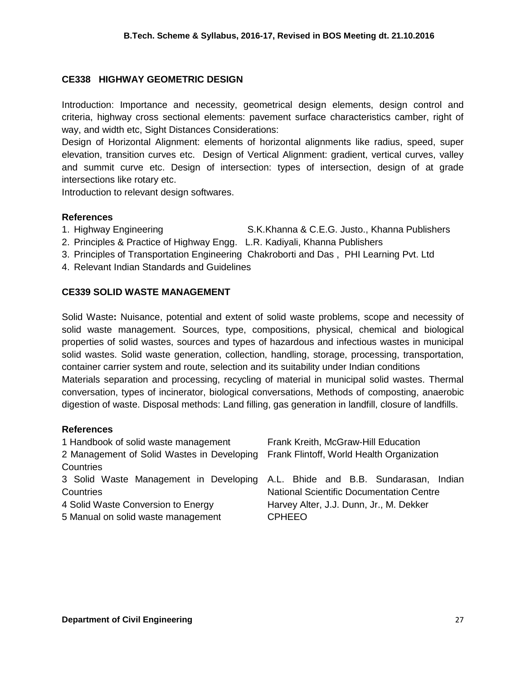## **CE338 HIGHWAY GEOMETRIC DESIGN**

Introduction: Importance and necessity, geometrical design elements, design control and criteria, highway cross sectional elements: pavement surface characteristics camber, right of way, and width etc, Sight Distances Considerations:

Design of Horizontal Alignment: elements of horizontal alignments like radius, speed, super elevation, transition curves etc. Design of Vertical Alignment: gradient, vertical curves, valley and summit curve etc. Design of intersection: types of intersection, design of at grade intersections like rotary etc.

Introduction to relevant design softwares.

## **References**

- 1. Highway Engineering S.K.Khanna & C.E.G. Justo., [Khanna Publishers](http://booksdelivery.com/khanna-publishers)
- 2. Principles & Practice of Highway Engg. L.R. Kadiyali, Khanna Publishers
- 3. Principles of Transportation Engineering Chakroborti and Das , PHI Learning Pvt. Ltd
- 4. Relevant Indian Standards and Guidelines

## **CE339 SOLID WASTE MANAGEMENT**

Solid Waste**:** Nuisance, potential and extent of solid waste problems, scope and necessity of solid waste management. Sources, type, compositions, physical, chemical and biological properties of solid wastes, sources and types of hazardous and infectious wastes in municipal solid wastes. Solid waste generation, collection, handling, storage, processing, transportation, container carrier system and route, selection and its suitability under Indian conditions Materials separation and processing, recycling of material in municipal solid wastes. Thermal conversation, types of incinerator, biological conversations, Methods of composting, anaerobic digestion of waste. Disposal methods: Land filling, gas generation in landfill, closure of landfills.

| 1 Handbook of solid waste management       | Frank Kreith, McGraw-Hill Education                                           |
|--------------------------------------------|-------------------------------------------------------------------------------|
| 2 Management of Solid Wastes in Developing | Frank Flintoff, World Health Organization                                     |
| Countries                                  |                                                                               |
|                                            | 3 Solid Waste Management in Developing A.L. Bhide and B.B. Sundarasan, Indian |
| Countries                                  | <b>National Scientific Documentation Centre</b>                               |
| 4 Solid Waste Conversion to Energy         | Harvey Alter, J.J. Dunn, Jr., M. Dekker                                       |
| 5 Manual on solid waste management         | <b>CPHEEO</b>                                                                 |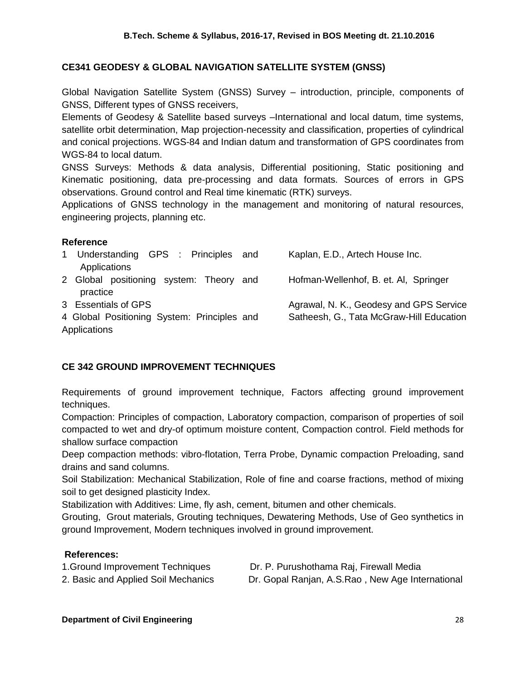## **CE341 GEODESY & GLOBAL NAVIGATION SATELLITE SYSTEM (GNSS)**

Global Navigation Satellite System (GNSS) Survey – introduction, principle, components of GNSS, Different types of GNSS receivers,

Elements of Geodesy & Satellite based surveys –International and local datum, time systems, satellite orbit determination, Map projection-necessity and classification, properties of cylindrical and conical projections. WGS-84 and Indian datum and transformation of GPS coordinates from WGS-84 to local datum.

GNSS Surveys: Methods & data analysis, Differential positioning, Static positioning and Kinematic positioning, data pre-processing and data formats. Sources of errors in GPS observations. Ground control and Real time kinematic (RTK) surveys.

Applications of GNSS technology in the management and monitoring of natural resources, engineering projects, planning etc.

#### **Reference**

| Understanding GPS : Principles and<br>1<br>Applications | Kaplan, E.D., Artech House Inc.          |
|---------------------------------------------------------|------------------------------------------|
| 2 Global positioning system: Theory and<br>practice     | Hofman-Wellenhof, B. et. Al, Springer    |
| 3 Essentials of GPS                                     | Agrawal, N. K., Geodesy and GPS Service  |
| 4 Global Positioning System: Principles and             | Satheesh, G., Tata McGraw-Hill Education |
| Applications                                            |                                          |

## **CE 342 GROUND IMPROVEMENT TECHNIQUES**

Requirements of ground improvement technique, Factors affecting ground improvement techniques.

Compaction: Principles of compaction, Laboratory compaction, comparison of properties of soil compacted to wet and dry-of optimum moisture content, Compaction control. Field methods for shallow surface compaction

Deep compaction methods: vibro-flotation, Terra Probe, Dynamic compaction Preloading, sand drains and sand columns.

Soil Stabilization: Mechanical Stabilization, Role of fine and coarse fractions, method of mixing soil to get designed plasticity Index.

Stabilization with Additives: Lime, fly ash, cement, bitumen and other chemicals.

Grouting, Grout materials, Grouting techniques, Dewatering Methods, Use of Geo synthetics in ground Improvement, Modern techniques involved in ground improvement.

## **References:**

| 1. Ground Improvement Techniques    | Dr. P. I |
|-------------------------------------|----------|
| 2. Basic and Applied Soil Mechanics | Dr. Gop  |

Purushothama Raj, Firewall Media

2. baal Ranjan, A.S.Rao, New Age International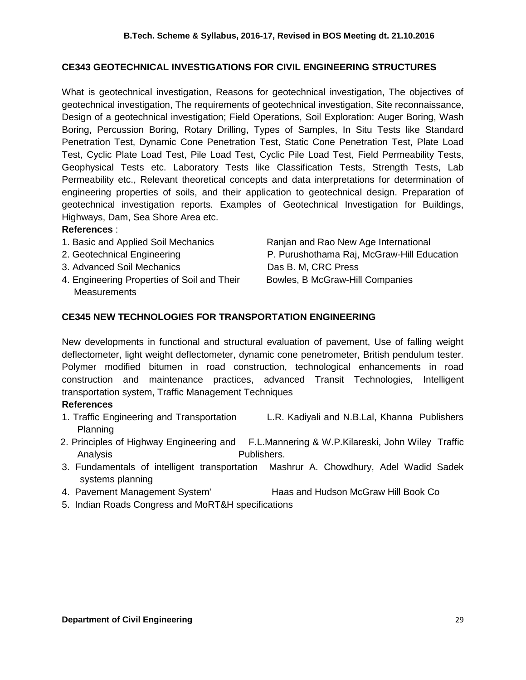## **CE343 GEOTECHNICAL INVESTIGATIONS FOR CIVIL ENGINEERING STRUCTURES**

What is geotechnical investigation, Reasons for geotechnical investigation, The objectives of geotechnical investigation, The requirements of geotechnical investigation, Site reconnaissance, Design of a geotechnical investigation; Field Operations, Soil Exploration: Auger Boring, Wash Boring, Percussion Boring, Rotary Drilling, Types of Samples, In Situ Tests like Standard Penetration Test, Dynamic Cone Penetration Test, Static Cone Penetration Test, Plate Load Test, Cyclic Plate Load Test, Pile Load Test, Cyclic Pile Load Test, Field Permeability Tests, Geophysical Tests etc. Laboratory Tests like Classification Tests, Strength Tests, Lab Permeability etc., Relevant theoretical concepts and data interpretations for determination of engineering properties of soils, and their application to geotechnical design. Preparation of geotechnical investigation reports. Examples of Geotechnical Investigation for Buildings, Highways, Dam, Sea Shore Area etc.

## **References** :

- 
- 
- 3. Advanced Soil Mechanics Das B. M, CRC Press
- 4. Engineering Properties of Soil and Their Bowles, B McGraw-Hill Companies **Measurements**

1. Basic and Applied Soil Mechanics Ranjan and Rao New Age International 2. Geotechnical Engineering **P. Purushothama Raj, McGraw-Hill Education** 

## **CE345 NEW TECHNOLOGIES FOR TRANSPORTATION ENGINEERING**

New developments in functional and structural evaluation of pavement, Use of falling weight deflectometer, light weight deflectometer, dynamic cone penetrometer, British pendulum tester. Polymer modified bitumen in road construction, technological enhancements in road construction and maintenance practices, advanced Transit Technologies, Intelligent transportation system, Traffic Management Techniques

- 1. Traffic Engineering and Transportation L.R. Kadiyali and N.B.Lal, Khanna Publishers Planning
- 2. Principles of Highway Engineering and F.L.Mannering & W.P.Kilareski, John Wiley Traffic Analysis **Publishers.**
- 3. Fundamentals of intelligent transportation Mashrur A. Chowdhury, Adel Wadid Sadek systems planning
- 4. Pavement Management System' Haas and Hudson McGraw Hill Book Co
- 5. Indian Roads Congress and MoRT&H specifications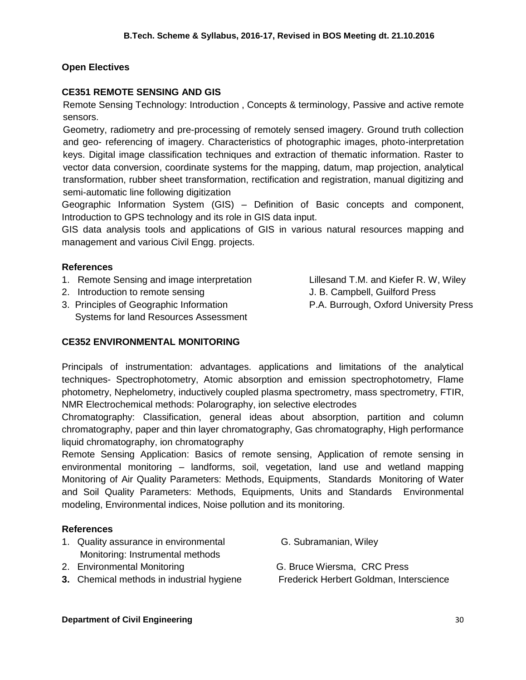## **Open Electives**

## **CE351 REMOTE SENSING AND GIS**

Remote Sensing Technology: Introduction , Concepts & terminology, Passive and active remote sensors.

Geometry, radiometry and pre-processing of remotely sensed imagery. Ground truth collection and geo- referencing of imagery. Characteristics of photographic images, photo-interpretation keys. Digital image classification techniques and extraction of thematic information. Raster to vector data conversion, coordinate systems for the mapping, datum, map projection, analytical transformation, rubber sheet transformation, rectification and registration, manual digitizing and semi-automatic line following digitization

Geographic Information System (GIS) – Definition of Basic concepts and component, Introduction to GPS technology and its role in GIS data input.

GIS data analysis tools and applications of GIS in various natural resources mapping and management and various Civil Engg. projects.

#### **References**

- 1. Remote Sensing and image interpretation Lillesand T.M. and Kiefer R. W, Wiley
- 2. Introduction to remote sensing The Sensing St. B. Campbell, Guilford Press
- 3. Principles of Geographic Information P.A. Burrough, Oxford University Press Systems for land Resources Assessment
- -

## **CE352 ENVIRONMENTAL MONITORING**

Principals of instrumentation: advantages. applications and limitations of the analytical techniques- Spectrophotometry, Atomic absorption and emission spectrophotometry, Flame photometry, Nephelometry, inductively coupled plasma spectrometry, mass spectrometry, FTIR, NMR Electrochemical methods: Polarography, ion selective electrodes

Chromatography: Classification, general ideas about absorption, partition and column chromatography, paper and thin layer chromatography, Gas chromatography, High performance liquid chromatography, ion chromatography

Remote Sensing Application: Basics of remote sensing, Application of remote sensing in environmental monitoring – landforms, soil, vegetation, land use and wetland mapping Monitoring of Air Quality Parameters: Methods, Equipments, Standards Monitoring of Water and Soil Quality Parameters: Methods, Equipments, Units and Standards Environmental modeling, Environmental indices, Noise pollution and its monitoring.

- 1. Quality assurance in environmental [G. Subramanian,](http://www.google.co.in/search?tbo=p&tbm=bks&q=inauthor:%22G.+Subramanian%22) Wiley Monitoring: Instrumental methods
- 
- **3.** Chemical methods in industrial hygiene [Frederick Herbert Goldman,](http://www.google.co.in/search?tbo=p&tbm=bks&q=inauthor:%22Frederick+Herbert+Goldman%22) Interscience
- 
- 2. Environmental Monitoring The C. Bruce Wiersma, CRC Press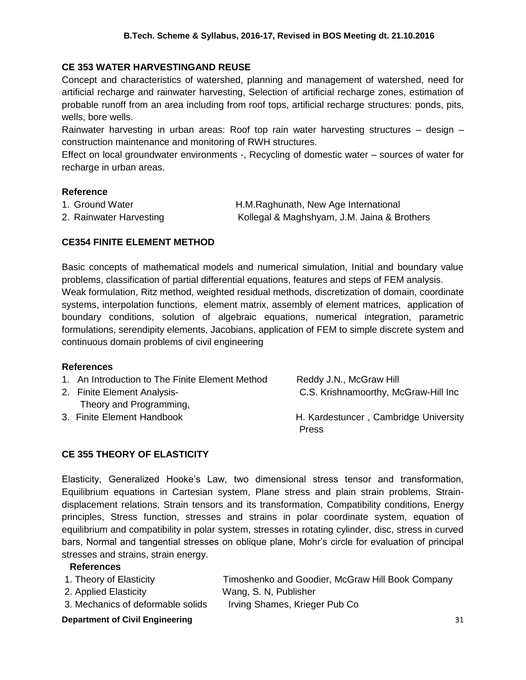## **CE 353 WATER HARVESTINGAND REUSE**

Concept and characteristics of watershed, planning and management of watershed, need for artificial recharge and rainwater harvesting, Selection of artificial recharge zones, estimation of probable runoff from an area including from roof tops, artificial recharge structures: ponds, pits, wells, bore wells.

Rainwater harvesting in urban areas: Roof top rain water harvesting structures – design – construction maintenance and monitoring of RWH structures.

Effect on local groundwater environments -, Recycling of domestic water – sources of water for recharge in urban areas.

#### **Reference**

| 1. Ground Water         | H.M.Raghunath, New Age International        |
|-------------------------|---------------------------------------------|
| 2. Rainwater Harvesting | Kollegal & Maghshyam, J.M. Jaina & Brothers |

## **CE354 FINITE ELEMENT METHOD**

Basic concepts of mathematical models and numerical simulation, Initial and boundary value problems, classification of partial differential equations, features and steps of FEM analysis. Weak formulation, Ritz method, weighted residual methods, discretization of domain, coordinate systems, interpolation functions, element matrix, assembly of element matrices, application of boundary conditions, solution of algebraic equations, numerical integration, parametric formulations, serendipity elements, Jacobians, application of FEM to simple discrete system and continuous domain problems of civil engineering

## **References**

| 1. An Introduction to The Finite Element Method | Reddy J.N., McGraw Hill                        |
|-------------------------------------------------|------------------------------------------------|
| 2. Finite Element Analysis-                     | C.S. Krishnamoorthy, McGraw-Hill Inc.          |
| Theory and Programming,                         |                                                |
| 3. Finite Element Handbook                      | H. Kardestuncer, Cambridge University<br>Press |

## **CE 355 THEORY OF ELASTICITY**

Elasticity, Generalized Hooke's Law, two dimensional stress tensor and transformation, Equilibrium equations in Cartesian system, Plane stress and plain strain problems, Straindisplacement relations, Strain tensors and its transformation, Compatibility conditions, Energy principles, Stress function, stresses and strains in polar coordinate system, equation of equilibrium and compatibility in polar system, stresses in rotating cylinder, disc, stress in curved bars, Normal and tangential stresses on oblique plane, Mohr's circle for evaluation of principal stresses and strains, strain energy.

## **References**

| 1. Theory of Elasticity | Timoshenko and Goodier, McGraw Hill Book Company |
|-------------------------|--------------------------------------------------|
| 2. Applied Elasticity   | Wang, S. N, Publisher                            |

3. Mechanics of deformable solids Irving Shames, Krieger Pub Co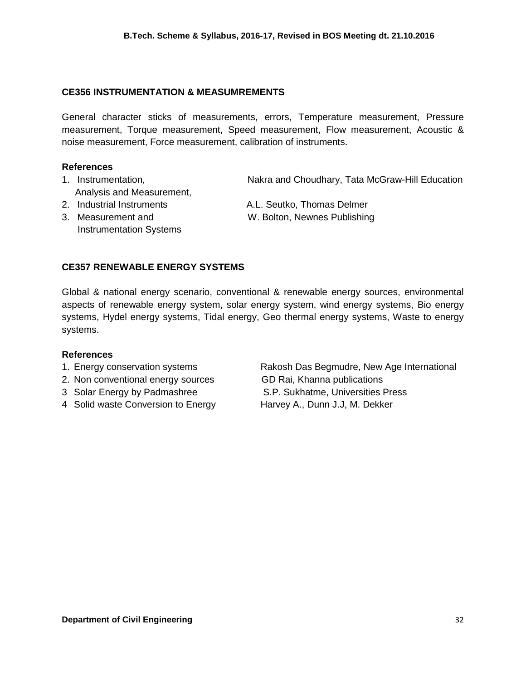## **CE356 INSTRUMENTATION & MEASUMREMENTS**

General character sticks of measurements, errors, Temperature measurement, Pressure measurement, Torque measurement, Speed measurement, Flow measurement, Acoustic & noise measurement, Force measurement, calibration of instruments.

#### **References**

- 1. Instrumentation, The Makra and Choudhary, Tata McGraw-Hill Education Analysis and Measurement,
- 
- Instrumentation Systems

2. Industrial Instruments A.L. Seutko, Thomas Delmer

3. Measurement and W. Bolton, Newnes Publishing

## **CE357 RENEWABLE ENERGY SYSTEMS**

Global & national energy scenario, conventional & renewable energy sources, environmental aspects of renewable energy system, solar energy system, wind energy systems, Bio energy systems, Hydel energy systems, Tidal energy, Geo thermal energy systems, Waste to energy systems.

#### **References**

- 
- 2. Non conventional energy sources GD Rai, Khanna publications
- 
- 4 Solid waste Conversion to Energy Harvey A., Dunn J.J, M. Dekker

1. Energy conservation systems The Rakosh Das Begmudre, New Age International 3 Solar Energy by Padmashree S.P. Sukhatme, Universities Press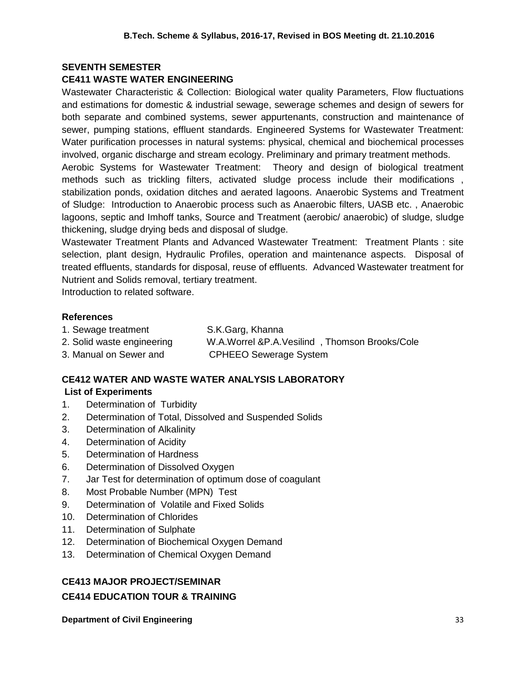## **SEVENTH SEMESTER**

## **CE411 WASTE WATER ENGINEERING**

Wastewater Characteristic & Collection: Biological water quality Parameters, Flow fluctuations and estimations for domestic & industrial sewage, sewerage schemes and design of sewers for both separate and combined systems, sewer appurtenants, construction and maintenance of sewer, pumping stations, effluent standards. Engineered Systems for Wastewater Treatment: Water purification processes in natural systems: physical, chemical and biochemical processes involved, organic discharge and stream ecology. Preliminary and primary treatment methods.

Aerobic Systems for Wastewater Treatment: Theory and design of biological treatment methods such as trickling filters, activated sludge process include their modifications , stabilization ponds, oxidation ditches and aerated lagoons. Anaerobic Systems and Treatment of Sludge: Introduction to Anaerobic process such as Anaerobic filters, UASB etc. , Anaerobic lagoons, septic and Imhoff tanks, Source and Treatment (aerobic/ anaerobic) of sludge, sludge thickening, sludge drying beds and disposal of sludge.

Wastewater Treatment Plants and Advanced Wastewater Treatment: Treatment Plants : site selection, plant design, Hydraulic Profiles, operation and maintenance aspects. Disposal of treated effluents, standards for disposal, reuse of effluents. Advanced Wastewater treatment for Nutrient and Solids removal, tertiary treatment.

Introduction to related software.

#### **References**

| 1. Sewage treatment        | S.K.Garg, Khanna                                |
|----------------------------|-------------------------------------------------|
| 2. Solid waste engineering | W.A.Worrel & P.A.Vesilind . Thomson Brooks/Cole |

3. Manual on Sewer and CPHEEO Sewerage System

## **CE412 WATER AND WASTE WATER ANALYSIS LABORATORY**

## **List of Experiments**

- 1. Determination of Turbidity
- 2. Determination of Total, Dissolved and Suspended Solids
- 3. Determination of Alkalinity
- 4. Determination of Acidity
- 5. Determination of Hardness
- 6. Determination of Dissolved Oxygen
- 7. Jar Test for determination of optimum dose of coagulant
- 8. Most Probable Number (MPN) Test
- 9. Determination of Volatile and Fixed Solids
- 10. Determination of Chlorides
- 11. Determination of Sulphate
- 12. Determination of Biochemical Oxygen Demand
- 13. Determination of Chemical Oxygen Demand

## **CE413 MAJOR PROJECT/SEMINAR**

#### **CE414 EDUCATION TOUR & TRAINING**

**Department of Civil Engineering 33 and 33 and 33 and 33 and 33 and 33 and 33 and 33 and 33 and 33 and 33 and 33 and 33 and 33 and 33 and 33 and 33 and 33 and 33 and 33 and 33 and 33 and 33 and 33 and 33 and 33 and 33 and**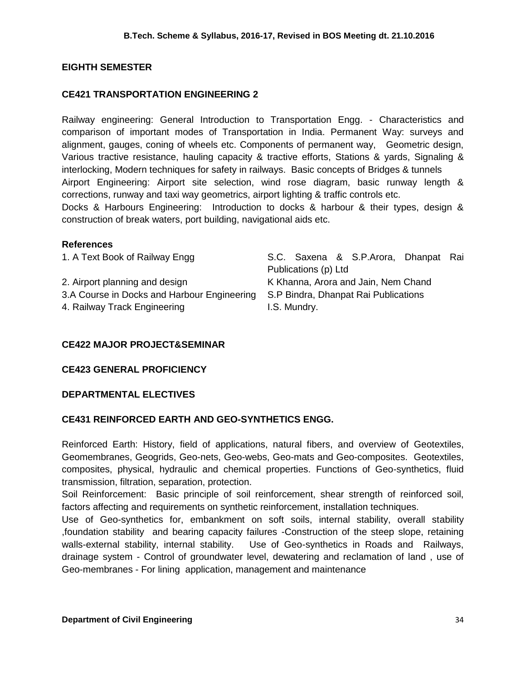## **EIGHTH SEMESTER**

## **CE421 TRANSPORTATION ENGINEERING 2**

Railway engineering: General Introduction to Transportation Engg. - Characteristics and comparison of important modes of Transportation in India. Permanent Way: surveys and alignment, gauges, coning of wheels etc. Components of permanent way, Geometric design, Various tractive resistance, hauling capacity & tractive efforts, Stations & yards, Signaling & interlocking, Modern techniques for safety in railways. Basic concepts of Bridges & tunnels Airport Engineering: Airport site selection, wind rose diagram, basic runway length & corrections, runway and taxi way geometrics, airport lighting & traffic controls etc. Docks & Harbours Engineering: Introduction to docks & harbour & their types, design & construction of break waters, port building, navigational aids etc.

#### **References**

1. A Text Book of Railway Engg S.C. Saxena & S.P.Arora, Dhanpat Rai Publications (p) Ltd 2. Airport planning and design Theorem Containst K Khanna, Arora and Jain, Nem Chand 3.A Course in Docks and Harbour Engineering S.P Bindra, Dhanpat Rai Publications 4. Railway Track Engineering Track Engineering I.S. Mundry.

## **CE422 MAJOR PROJECT&SEMINAR**

## **CE423 GENERAL PROFICIENCY**

## **DEPARTMENTAL ELECTIVES**

## **CE431 REINFORCED EARTH AND GEO-SYNTHETICS ENGG.**

Reinforced Earth: History, field of applications, natural fibers, and overview of Geotextiles, Geomembranes, Geogrids, Geo-nets, Geo-webs, Geo-mats and Geo-composites. Geotextiles, composites, physical, hydraulic and chemical properties. Functions of Geo-synthetics, fluid transmission, filtration, separation, protection.

Soil Reinforcement: Basic principle of soil reinforcement, shear strength of reinforced soil, factors affecting and requirements on synthetic reinforcement, installation techniques.

Use of Geo-synthetics for, embankment on soft soils, internal stability, overall stability ,foundation stability and bearing capacity failures -Construction of the steep slope, retaining walls-external stability, internal stability. Use of Geo-synthetics in Roads and Railways, drainage system - Control of groundwater level, dewatering and reclamation of land , use of Geo-membranes - For lining application, management and maintenance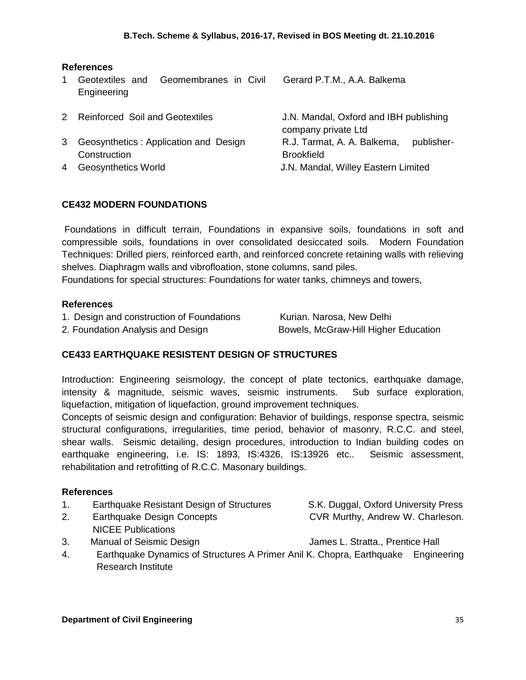## **References**

1 Geotextiles and Geomembranes in Civil Engineering

Gerard P.T.M., A.A. Balkema

|   | 2 Reinforced Soil and Geotextiles     | J.N. Mandal, Oxford and IBH publishing |            |
|---|---------------------------------------|----------------------------------------|------------|
|   |                                       | company private Ltd                    |            |
| 3 | Geosynthetics: Application and Design | R.J. Tarmat, A. A. Balkema,            | publisher- |
|   | Construction                          | <b>Brookfield</b>                      |            |
| 4 | <b>Geosynthetics World</b>            | J.N. Mandal, Willey Eastern Limited    |            |
|   |                                       |                                        |            |

## **CE432 MODERN FOUNDATIONS**

Foundations in difficult terrain, Foundations in expansive soils, foundations in soft and compressible soils, foundations in over consolidated desiccated soils. Modern Foundation Techniques: Drilled piers, reinforced earth, and reinforced concrete retaining walls with relieving shelves. Diaphragm walls and vibrofloation, stone columns, sand piles.

Foundations for special structures: Foundations for water tanks, chimneys and towers,

#### **References**

| 1. Design and construction of Foundations | Kurian. Narosa, New Delhi            |
|-------------------------------------------|--------------------------------------|
| 2. Foundation Analysis and Design         | Bowels, McGraw-Hill Higher Education |

## **CE433 EARTHQUAKE RESISTENT DESIGN OF STRUCTURES**

Introduction: Engineering seismology, the concept of plate tectonics, earthquake damage, intensity & magnitude, seismic waves, seismic instruments. Sub surface exploration, liquefaction, mitigation of liquefaction, ground improvement techniques.

Concepts of seismic design and configuration: Behavior of buildings, response spectra, seismic structural configurations, irregularities, time period, behavior of masonry, R.C.C. and steel, shear walls. Seismic detailing, design procedures, introduction to Indian building codes on earthquake engineering, i.e. IS: 1893, IS:4326, IS:13926 etc.. Seismic assessment, rehabilitation and retrofitting of R.C.C. Masonary buildings.

- 1. Earthquake Resistant Design of Structures S.K. Duggal, Oxford University Press
- 2. Earthquake Design Concepts CVR Murthy, Andrew W. Charleson. NICEE Publications
	-
- 3. Manual of Seismic Design James L. Stratta., Prentice Hall
	-
- 4. Earthquake Dynamics of Structures A Primer Anil K. Chopra, Earthquake Engineering Research Institute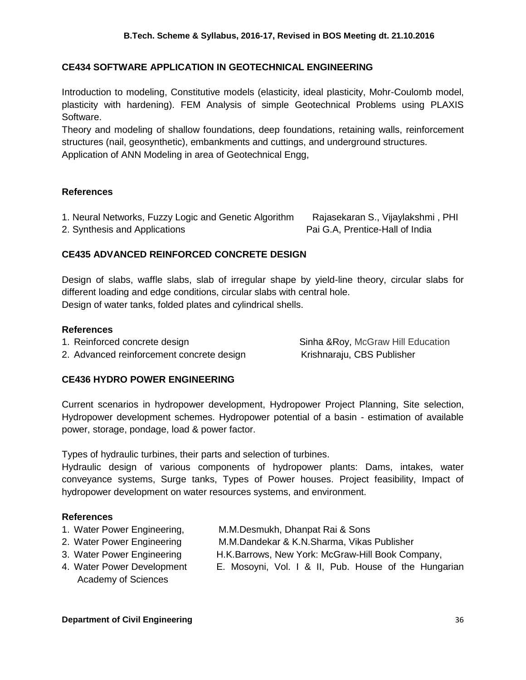## **CE434 SOFTWARE APPLICATION IN GEOTECHNICAL ENGINEERING**

Introduction to modeling, Constitutive models (elasticity, ideal plasticity, Mohr-Coulomb model, plasticity with hardening). FEM Analysis of simple Geotechnical Problems using PLAXIS Software.

Theory and modeling of shallow foundations, deep foundations, retaining walls, reinforcement structures (nail, geosynthetic), embankments and cuttings, and underground structures. Application of ANN Modeling in area of Geotechnical Engg,

#### **References**

1. Neural Networks, Fuzzy Logic and Genetic Algorithm Rajasekaran S., Vijaylakshmi , PHI

2. Synthesis and Applications **Pai G.A, Prentice-Hall of India** 

## **CE435 ADVANCED REINFORCED CONCRETE DESIGN**

Design of slabs, waffle slabs, slab of irregular shape by yield-line theory, circular slabs for different loading and edge conditions, circular slabs with central hole. Design of water tanks, folded plates and cylindrical shells.

#### **References**

1. Reinforced concrete design Superstanding Sinha &Roy, McGraw Hill Education

2. Advanced reinforcement concrete design Krishnaraju, CBS Publisher

**CE436 HYDRO POWER ENGINEERING**

Current scenarios in hydropower development, Hydropower Project Planning, Site selection, Hydropower development schemes. Hydropower potential of a basin - estimation of available power, storage, pondage, load & power factor.

Types of hydraulic turbines, their parts and selection of turbines.

Hydraulic design of various components of hydropower plants: Dams, intakes, water conveyance systems, Surge tanks, Types of Power houses. Project feasibility, Impact of hydropower development on water resources systems, and environment.

- 
- 
- 
- Academy of Sciences
- 1. Water Power Engineering, M.M.Desmukh, Dhanpat Rai & Sons
- 2. Water Power Engineering M.M.Dandekar & K.N.Sharma, Vikas Publisher
- 3. Water Power Engineering H.K.Barrows, New York: McGraw-Hill Book Company,
- 4. Water Power Development E. Mosoyni, Vol. I & II, Pub. House of the Hungarian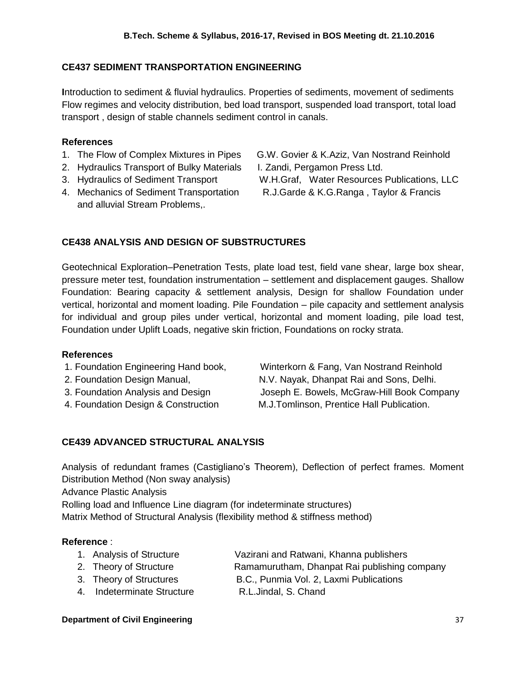## **CE437 SEDIMENT TRANSPORTATION ENGINEERING**

**I**ntroduction to sediment & fluvial hydraulics. Properties of sediments, movement of sediments Flow regimes and velocity distribution, bed load transport, suspended load transport, total load transport , design of stable channels sediment control in canals.

#### **References**

- 
- 2. Hydraulics Transport of Bulky Materials I. Zandi, Pergamon Press Ltd.
- 
- and alluvial Stream Problems,.

1. The Flow of Complex Mixtures in Pipes G.W. Govier & K.Aziz, Van Nostrand Reinhold

- 
- 3. Hydraulics of Sediment Transport W.H.Graf, [Water Resources Publications, LLC](http://www.bookdepository.com/publishers/Water-Resources-Publications-LLC) 4. Mechanics of Sediment Transportation R.J.Garde & K.G.Ranga , Taylor & Francis

## **CE438 ANALYSIS AND DESIGN OF SUBSTRUCTURES**

Geotechnical Exploration–Penetration Tests, plate load test, field vane shear, large box shear, pressure meter test, foundation instrumentation – settlement and displacement gauges. Shallow Foundation: Bearing capacity & settlement analysis, Design for shallow Foundation under vertical, horizontal and moment loading. Pile Foundation – pile capacity and settlement analysis for individual and group piles under vertical, horizontal and moment loading, pile load test, Foundation under Uplift Loads, negative skin friction, Foundations on rocky strata.

#### **References**

- 
- 
- 

1. Foundation Engineering Hand book, Winterkorn & Fang, Van Nostrand Reinhold 2. Foundation Design Manual, N.V. Nayak, Dhanpat Rai and Sons, Delhi. 3. Foundation Analysis and Design Joseph E. Bowels, McGraw-Hill Book Company 4. Foundation Design & Construction M.J.Tomlinson, Prentice Hall Publication.

## **CE439 ADVANCED STRUCTURAL ANALYSIS**

Analysis of redundant frames (Castigliano's Theorem), Deflection of perfect frames. Moment Distribution Method (Non sway analysis)

Advance Plastic Analysis

Rolling load and Influence Line diagram (for indeterminate structures) Matrix Method of Structural Analysis (flexibility method & stiffness method)

## **Reference** :

- 1. Analysis of Structure Vazirani and Ratwani, Khanna publishers
- 2. Theory of Structure Ramamurutham, Dhanpat Rai publishing company
	- 3. Theory of Structures B.C., Punmia Vol. 2, Laxmi Publications
- 4. Indeterminate Structure R.L.Jindal, S. Chand

#### **Department of Civil Engineering 37 and 37 and 37 and 37 and 37 and 37 and 37 and 37 and 37 and 37 and 37 and 37 and 37 and 37 and 37 and 37 and 37 and 37 and 37 and 37 and 37 and 37 and 37 and 37 and 37 and 37 and 37 and**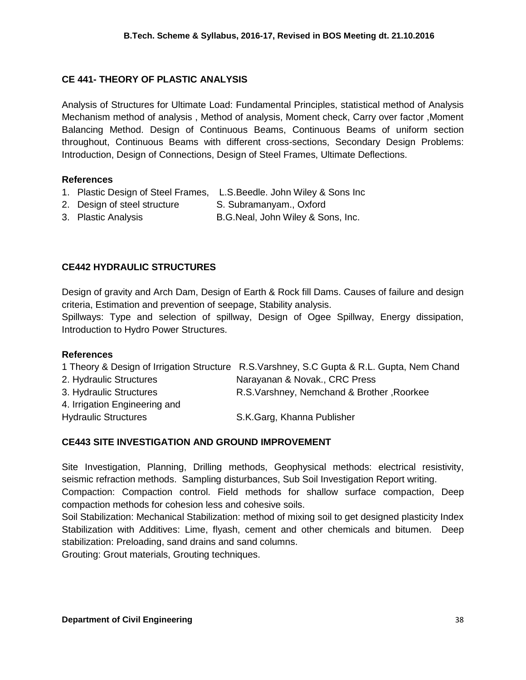## **CE 441- THEORY OF PLASTIC ANALYSIS**

Analysis of Structures for Ultimate Load: Fundamental Principles, statistical method of Analysis Mechanism method of analysis , Method of analysis, Moment check, Carry over factor ,Moment Balancing Method. Design of Continuous Beams, Continuous Beams of uniform section throughout, Continuous Beams with different cross-sections, Secondary Design Problems: Introduction, Design of Connections, Design of Steel Frames, Ultimate Deflections.

## **References**

- 1. Plastic Design of Steel Frames, L.S.Beedle. John Wiley & Sons Inc
- 2. Design of steel structure S. Subramanyam., Oxford
- 3. Plastic Analysis B.G.Neal, John Wiley & Sons, Inc.

## **CE442 HYDRAULIC STRUCTURES**

Design of gravity and Arch Dam, Design of Earth & Rock fill Dams. Causes of failure and design criteria, Estimation and prevention of seepage, Stability analysis.

Spillways: Type and selection of spillway, Design of Ogee Spillway, Energy dissipation, Introduction to Hydro Power Structures.

## **References**

|                               | 1 Theory & Design of Irrigation Structure R.S.Varshney, S.C Gupta & R.L. Gupta, Nem Chand |
|-------------------------------|-------------------------------------------------------------------------------------------|
| 2. Hydraulic Structures       | Narayanan & Novak., CRC Press                                                             |
| 3. Hydraulic Structures       | R.S. Varshney, Nemchand & Brother, Roorkee                                                |
| 4. Irrigation Engineering and |                                                                                           |
| <b>Hydraulic Structures</b>   | S.K.Garg, Khanna Publisher                                                                |

## **CE443 SITE INVESTIGATION AND GROUND IMPROVEMENT**

Site Investigation, Planning, Drilling methods, Geophysical methods: electrical resistivity, seismic refraction methods. Sampling disturbances, Sub Soil Investigation Report writing. Compaction: Compaction control. Field methods for shallow surface compaction, Deep

compaction methods for cohesion less and cohesive soils.

Soil Stabilization: Mechanical Stabilization: method of mixing soil to get designed plasticity Index Stabilization with Additives: Lime, flyash, cement and other chemicals and bitumen. Deep stabilization: Preloading, sand drains and sand columns.

Grouting: Grout materials, Grouting techniques.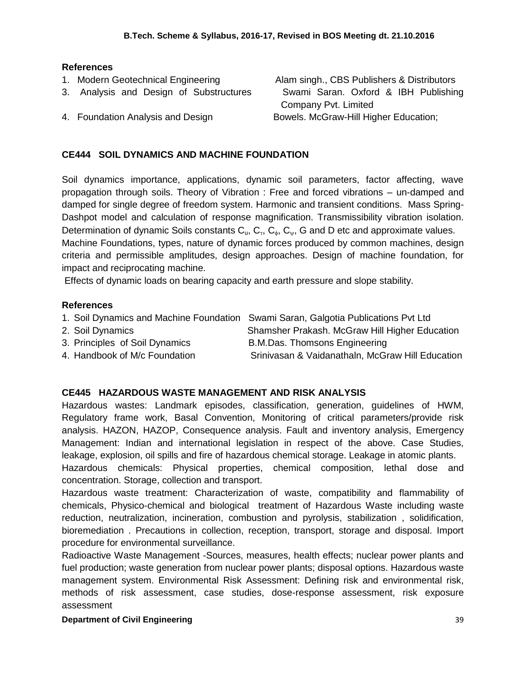## **References**

- 1. Modern Geotechnical Engineering Alam singh., CBS Publishers & Distributors
- 3. Analysis and Design of Substructures Swami Saran. Oxford & IBH Publishing
- 

## **CE444 SOIL DYNAMICS AND MACHINE FOUNDATION**

Soil dynamics importance, applications, dynamic soil parameters, factor affecting, wave propagation through soils. Theory of Vibration : Free and forced vibrations – un-damped and damped for single degree of freedom system. Harmonic and transient conditions. Mass Spring-Dashpot model and calculation of response magnification. Transmissibility vibration isolation. Determination of dynamic Soils constants  $C_u$ ,  $C_v$ ,  $C_v$ ,  $C_w$ , G and D etc and approximate values. Machine Foundations, types, nature of dynamic forces produced by common machines, design criteria and permissible amplitudes, design approaches. Design of machine foundation, for impact and reciprocating machine.

Effects of dynamic loads on bearing capacity and earth pressure and slope stability.

## **References**

- 1. Soil Dynamics and Machine Foundation Swami Saran, Galgotia Publications Pvt Ltd
- 
- 3. Principles of Soil Dynamics B.M.Das. Thomsons Engineering
- 
- 2. Soil Dynamics Shamsher Prakash. McGraw Hill Higher Education
	-
- 4. Handbook of M/c Foundation Srinivasan & Vaidanathaln, McGraw Hill Education

## **CE445 HAZARDOUS WASTE MANAGEMENT AND RISK ANALYSIS**

Hazardous wastes: Landmark episodes, classification, generation, guidelines of HWM, Regulatory frame work, Basal Convention, Monitoring of critical parameters/provide risk analysis. HAZON, HAZOP, Consequence analysis. Fault and inventory analysis, Emergency Management: Indian and international legislation in respect of the above. Case Studies, leakage, explosion, oil spills and fire of hazardous chemical storage. Leakage in atomic plants.

Hazardous chemicals: Physical properties, chemical composition, lethal dose and concentration. Storage, collection and transport.

Hazardous waste treatment: Characterization of waste, compatibility and flammability of chemicals, Physico-chemical and biological treatment of Hazardous Waste including waste reduction, neutralization, incineration, combustion and pyrolysis, stabilization , solidification, bioremediation . Precautions in collection, reception, transport, storage and disposal. Import procedure for environmental surveillance.

Radioactive Waste Management -Sources, measures, health effects; nuclear power plants and fuel production; waste generation from nuclear power plants; disposal options. Hazardous waste management system. Environmental Risk Assessment: Defining risk and environmental risk, methods of risk assessment, case studies, dose-response assessment, risk exposure assessment

## **Department of Civil Engineering 39 and 200 and 200 and 200 and 39 and 39 and 39 and 39 and 39 and 39 and 39 and 39 and 39 and 39 and 39 and 39 and 39 and 39 and 39 and 39 and 39 and 39 and 39 and 30 and 30 and 30 and 30 a**

Company Pvt. Limited 4. Foundation Analysis and Design Bowels. McGraw-Hill Higher Education;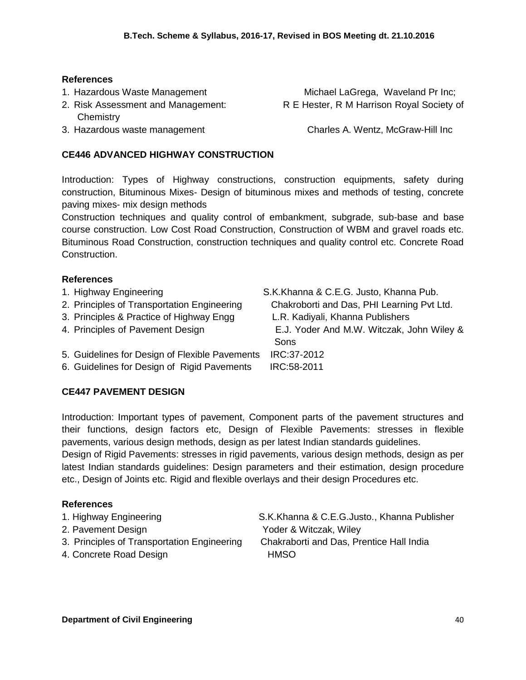## **References**

- 
- **Chemistry**

1. Hazardous Waste Management **[Michael LaGrega,](http://www.amazon.com/s/ref=ntt_athr_dp_sr_1?_encoding=UTF8&sort=relevancerank&search-alias=books&ie=UTF8&field-author=Michael%20LaGrega) Waveland Pr Inc**; 2. Risk Assessment and Management: R E Hester, R M Harrison Royal Society of

3. Hazardous waste management [Charles A. Wentz,](http://www.google.co.in/search?tbo=p&tbm=bks&q=inauthor:%22Charles+A.+Wentz%22) McGraw-Hill Inc

## **CE446 ADVANCED HIGHWAY CONSTRUCTION**

Introduction: Types of Highway constructions, construction equipments, safety during construction, Bituminous Mixes- Design of bituminous mixes and methods of testing, concrete paving mixes- mix design methods

Construction techniques and quality control of embankment, subgrade, sub-base and base course construction. Low Cost Road Construction, Construction of WBM and gravel roads etc. Bituminous Road Construction, construction techniques and quality control etc. Concrete Road Construction.

## **References**

| 1. Highway Engineering<br>4. Principles of Pavement Design | 2. Principles of Transportation Engineering<br>3. Principles & Practice of Highway Engg       | S.K.Khanna & C.E.G. Justo, Khanna Pub.<br>Chakroborti and Das, PHI Learning Pvt Ltd.<br>L.R. Kadiyali, Khanna Publishers<br>E.J. Yoder And M.W. Witczak, John Wiley &<br>Sons |
|------------------------------------------------------------|-----------------------------------------------------------------------------------------------|-------------------------------------------------------------------------------------------------------------------------------------------------------------------------------|
|                                                            | 5. Guidelines for Design of Flexible Pavements<br>6. Guidelines for Design of Rigid Pavements | IRC:37-2012<br>IRC:58-2011                                                                                                                                                    |

## **CE447 PAVEMENT DESIGN**

Introduction: Important types of pavement, Component parts of the pavement structures and their functions, design factors etc, Design of Flexible Pavements: stresses in flexible pavements, various design methods, design as per latest Indian standards guidelines.

Design of Rigid Pavements: stresses in rigid pavements, various design methods, design as per latest Indian standards guidelines: Design parameters and their estimation, design procedure etc., Design of Joints etc. Rigid and flexible overlays and their design Procedures etc.

## **References**

- 
- 
- 3. Principles of Transportation Engineering Chakraborti and Das, Prentice Hall India
- 4. Concrete Road Design New York HMSO

1. Highway Engineering S.K.Khanna & C.E.G.Justo., Khanna Publisher 2. Pavement Design Yoder & Witczak, Wiley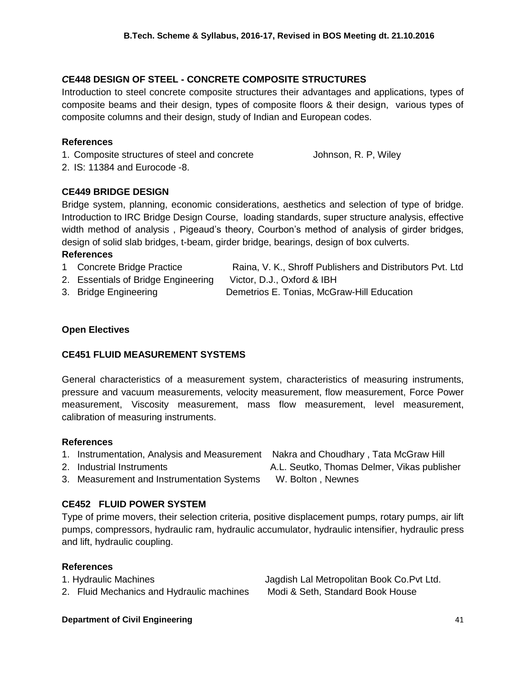## *C***E448 DESIGN OF STEEL - CONCRETE COMPOSITE STRUCTURES**

Introduction to steel concrete composite structures their advantages and applications, types of composite beams and their design, types of composite floors & their design, various types of composite columns and their design, study of Indian and European codes.

#### **References**

1. Composite structures of steel and concrete Johnson, R. P, Wiley

2. IS: 11384 and Eurocode -8.

## **CE449 BRIDGE DESIGN**

Bridge system, planning, economic considerations, aesthetics and selection of type of bridge. Introduction to IRC Bridge Design Course, loading standards, super structure analysis, effective width method of analysis , Pigeaud's theory, Courbon's method of analysis of girder bridges, design of solid slab bridges, t-beam, girder bridge, bearings, design of box culverts.

## **References**

- 1 Concrete Bridge Practice **Raina, V. K., Shroff Publishers and Distributors Pvt. Ltd**
- 2. Essentials of Bridge Engineering Victor, D.J., Oxford & IBH

3. Bridge Engineering Demetrios E. Tonias, McGraw-Hill Education

# **Open Electives**

## **CE451 FLUID MEASUREMENT SYSTEMS**

General characteristics of a measurement system, characteristics of measuring instruments, pressure and vacuum measurements, velocity measurement, flow measurement, Force Power measurement, Viscosity measurement, mass flow measurement, level measurement, calibration of measuring instruments.

#### **References**

- 1. Instrumentation, Analysis and Measurement Nakra and Choudhary , Tata McGraw Hill
- 
- 3. Measurement and Instrumentation Systems W. Bolton, Newnes

## **CE452 FLUID POWER SYSTEM**

Type of prime movers, their selection criteria, positive displacement pumps, rotary pumps, air lift pumps, compressors, hydraulic ram, hydraulic accumulator, hydraulic intensifier, hydraulic press and lift, hydraulic coupling.

#### **References**

1. Hydraulic Machines Jagdish Lal Metropolitan Book Co.Pvt Ltd. 2. Fluid Mechanics and Hydraulic machines Modi & Seth, Standard Book House

#### **Department of Civil Engineering 41 and 200 and 200 and 200 and 200 and 30 and 41 and 41 and 41 and 41 and 41 and 41 and 41 and 41 and 41 and 41 and 41 and 41 and 41 and 41 and 41 and 41 and 41 and 41 and 41 and 41 and 41**

- 2. Industrial Instruments A.L. Seutko, Thomas Delmer, Vikas publisher
	-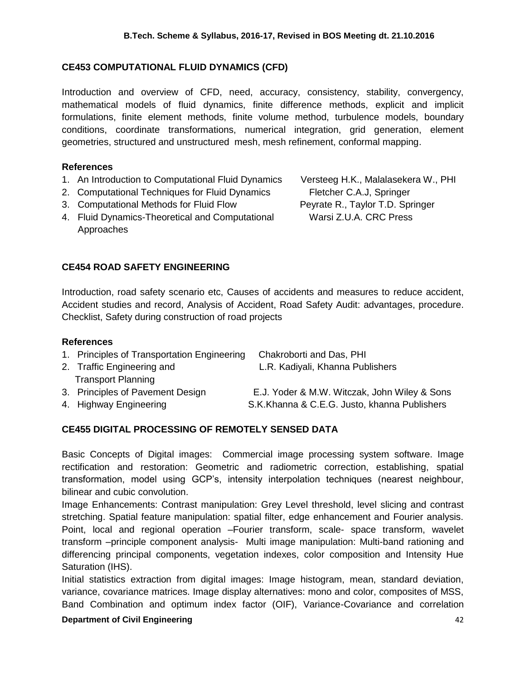## **CE453 COMPUTATIONAL FLUID DYNAMICS (CFD)**

Introduction and overview of CFD, need, accuracy, consistency, stability, convergency, mathematical models of fluid dynamics, finite difference methods, explicit and implicit formulations, finite element methods, finite volume method, turbulence models, boundary conditions, coordinate transformations, numerical integration, grid generation, element geometries, structured and unstructured mesh, mesh refinement, conformal mapping.

## **References**

- 1. An Introduction to Computational Fluid Dynamics Versteeg H.K., Malalasekera W., PHI
- 2. Computational Techniques for Fluid Dynamics Fletcher C.A.J, Springer
- 3. Computational Methods for Fluid Flow Peyrate R., Taylor T.D. Springer
- 4. Fluid Dynamics-Theoretical and Computational Warsi Z.U.A. CRC Press Approaches

## **CE454 ROAD SAFETY ENGINEERING**

Introduction, road safety scenario etc, Causes of accidents and measures to reduce accident, Accident studies and record, Analysis of Accident, Road Safety Audit: advantages, procedure. Checklist, Safety during construction of road projects

#### **References**

| 1. Principles of Transportation Engineering | Chakroborti and Das, PHI                     |
|---------------------------------------------|----------------------------------------------|
| 2. Traffic Engineering and                  | L.R. Kadiyali, Khanna Publishers             |
| <b>Transport Planning</b>                   |                                              |
| 3. Principles of Pavement Design            | E.J. Yoder & M.W. Witczak, John Wiley & Sons |
| 4. Highway Engineering                      | S.K.Khanna & C.E.G. Justo, khanna Publishers |

## **CE455 DIGITAL PROCESSING OF REMOTELY SENSED DATA**

Basic Concepts of Digital images: Commercial image processing system software. Image rectification and restoration: Geometric and radiometric correction, establishing, spatial transformation, model using GCP's, intensity interpolation techniques (nearest neighbour, bilinear and cubic convolution.

Image Enhancements: Contrast manipulation: Grey Level threshold, level slicing and contrast stretching. Spatial feature manipulation: spatial filter, edge enhancement and Fourier analysis. Point, local and regional operation –Fourier transform, scale- space transform, wavelet transform –principle component analysis- Multi image manipulation: Multi-band rationing and differencing principal components, vegetation indexes, color composition and Intensity Hue Saturation (IHS).

Initial statistics extraction from digital images: Image histogram, mean, standard deviation, variance, covariance matrices. Image display alternatives: mono and color, composites of MSS, Band Combination and optimum index factor (OIF), Variance-Covariance and correlation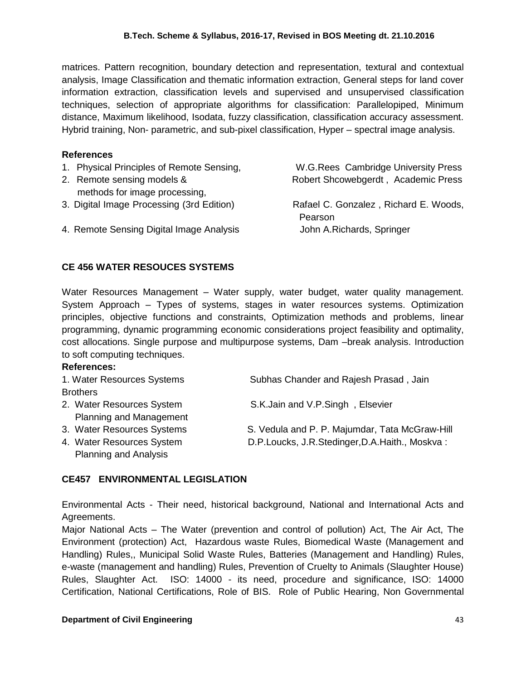matrices. Pattern recognition, boundary detection and representation, textural and contextual analysis, Image Classification and thematic information extraction, General steps for land cover information extraction, classification levels and supervised and unsupervised classification techniques, selection of appropriate algorithms for classification: Parallelopiped, Minimum distance, Maximum likelihood, Isodata, fuzzy classification, classification accuracy assessment. Hybrid training, Non- parametric, and sub-pixel classification, Hyper – spectral image analysis.

#### **References**

- 1. Physical Principles of Remote Sensing, W.G.Rees Cambridge University Press
- methods for image processing,
- 3. Digital Image Processing (3rd Edition) Rafael C. Gonzalez , Richard E. Woods,
- 4. Remote Sensing Digital Image Analysis John A.Richards, Springer

2. Remote sensing models & Robert Shcowebgerdt, Academic Press

Pearson

#### **CE 456 WATER RESOUCES SYSTEMS**

Water Resources Management – Water supply, water budget, water quality management. System Approach – Types of systems, stages in water resources systems. Optimization principles, objective functions and constraints, Optimization methods and problems, linear programming, dynamic programming economic considerations project feasibility and optimality, cost allocations. Single purpose and multipurpose systems, Dam –break analysis. Introduction to soft computing techniques.

#### **References:**

| 1. Water Resources Systems   | Subhas Chander and Rajesh Prasad, Jain         |
|------------------------------|------------------------------------------------|
| <b>Brothers</b>              |                                                |
| 2. Water Resources System    | S.K.Jain and V.P.Singh, Elsevier               |
| Planning and Management      |                                                |
| 3. Water Resources Systems   | S. Vedula and P. P. Majumdar, Tata McGraw-Hill |
| 4. Water Resources System    | D.P.Loucks, J.R.Stedinger, D.A.Haith., Moskva: |
| <b>Planning and Analysis</b> |                                                |

## **CE457 ENVIRONMENTAL LEGISLATION**

Environmental Acts - Their need, historical background, National and International Acts and Agreements.

Major National Acts – The Water (prevention and control of pollution) Act, The Air Act, The Environment (protection) Act, Hazardous waste Rules, Biomedical Waste (Management and Handling) Rules,, Municipal Solid Waste Rules, Batteries (Management and Handling) Rules, e-waste (management and handling) Rules, Prevention of Cruelty to Animals (Slaughter House) Rules, Slaughter Act. ISO: 14000 - its need, procedure and significance, ISO: 14000 Certification, National Certifications, Role of BIS. Role of Public Hearing, Non Governmental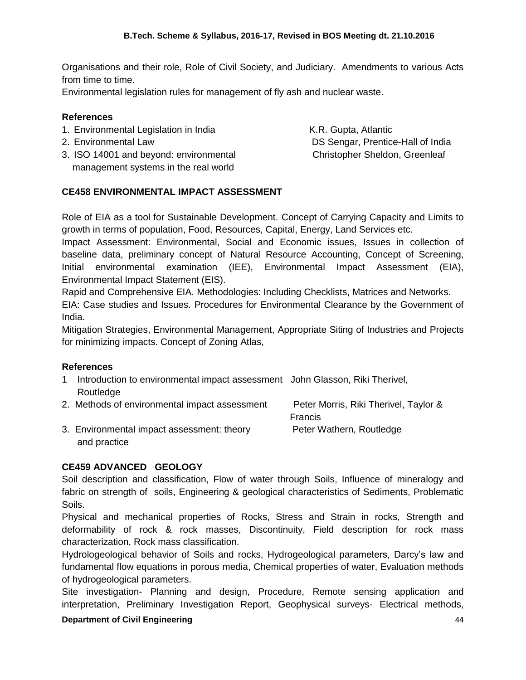Organisations and their role, Role of Civil Society, and Judiciary. Amendments to various Acts from time to time.

Environmental legislation rules for management of fly ash and nuclear waste.

## **References**

- 1. [Environmental Legislation](http://books.google.co.in/books?id=dXP37Q9VEp4C&printsec=frontcover&dq=environmental+legislation&hl=en&sa=X&ei=SsQ8T6q5LYSnrAfWwrC6Bw&ved=0CFYQ6AEwBg) in India [K.R. Gupta,](http://www.google.co.in/search?hl=en&sa=G&tbm=bks&tbm=bks&q=inauthor:%22K.R.+Gupta%22&ei=SsQ8T6q5LYSnrAfWwrC6Bw&ved=0CFcQ9Ag) Atlantic
- 
- 3. ISO 14001 and beyond: environmental [Christopher Sheldon,](http://www.google.co.in/search?tbo=p&tbm=bks&q=inauthor:%22Christopher+Sheldon%22) Greenleaf management systems in the real world

2. [Environmental Law](http://books.google.co.in/books?id=oKyuy3QmJ2oC&printsec=frontcover&dq=environmental+LAW&hl=en&sa=X&ei=ycQ8T8bhO8OzrAeQ68i_Bw&ved=0CEEQ6AEwAQ) DS [Sengar,](http://www.google.co.in/search?hl=en&sa=G&tbm=bks&tbm=bks&q=inauthor:%22Sengar%22&ei=ycQ8T8bhO8OzrAeQ68i_Bw&ved=0CEIQ9Ag) Prentice-Hall of India

## **CE458 ENVIRONMENTAL IMPACT ASSESSMENT**

Role of EIA as a tool for Sustainable Development. Concept of Carrying Capacity and Limits to growth in terms of population, Food, Resources, Capital, Energy, Land Services etc.

Impact Assessment: Environmental, Social and Economic issues, Issues in collection of baseline data, preliminary concept of Natural Resource Accounting, Concept of Screening, Initial environmental examination (IEE), Environmental Impact Assessment (EIA), Environmental Impact Statement (EIS).

Rapid and Comprehensive EIA. Methodologies: Including Checklists, Matrices and Networks.

EIA: Case studies and Issues. Procedures for Environmental Clearance by the Government of India.

Mitigation Strategies, Environmental Management, Appropriate Siting of Industries and Projects for minimizing impacts. Concept of Zoning Atlas,

## **References**

1 [Introduction to environmental impact assessment](http://books.google.co.in/books?id=7cZ6Sxd9gR4C&printsec=frontcover&dq=eia&hl=en&sa=X&ei=lMU8T8KsNYfYrQed4LHRBw&ved=0CD4Q6AEwAQ) [John Glasson,](http://www.google.co.in/search?hl=en&sa=G&tbm=bks&tbm=bks&q=inauthor:%22John+Glasson%22&ei=lMU8T8KsNYfYrQed4LHRBw&ved=0CD8Q9Ag) [Riki Therivel,](http://www.google.co.in/search?hl=en&sa=G&tbm=bks&tbm=bks&q=inauthor:%22John+Glasson%22&q=inauthor:%22Riki+Therivel%22&ei=lMU8T8KsNYfYrQed4LHRBw&ved=0CEAQ9Ag) Routledge

| 2. Methods of environmental impact assessment | Peter Morris, Riki Therivel, Taylor & |
|-----------------------------------------------|---------------------------------------|
|                                               | <b>Francis</b>                        |
| 3. Environmental impact assessment: theory    | Peter Wathern, Routledge              |
| and practice                                  |                                       |

## **CE459 ADVANCED GEOLOGY**

Soil description and classification, Flow of water through Soils, Influence of mineralogy and fabric on strength of soils, Engineering & geological characteristics of Sediments, Problematic Soils.

Physical and mechanical properties of Rocks, Stress and Strain in rocks, Strength and deformability of rock & rock masses, Discontinuity, Field description for rock mass characterization, Rock mass classification.

Hydrologeological behavior of Soils and rocks, Hydrogeological parameters, Darcy's law and fundamental flow equations in porous media, Chemical properties of water, Evaluation methods of hydrogeological parameters.

Site investigation- Planning and design, Procedure, Remote sensing application and interpretation, Preliminary Investigation Report, Geophysical surveys- Electrical methods,

## **Department of Civil Engineering 44** and 5 and 5 and 5 and 5 and 44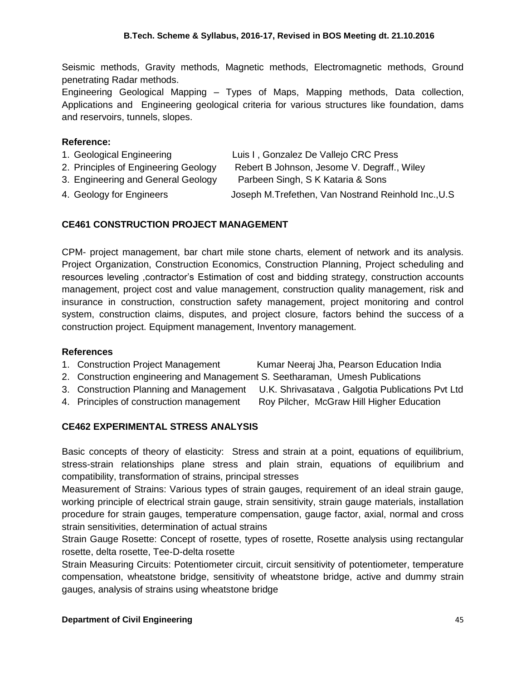Seismic methods, Gravity methods, Magnetic methods, Electromagnetic methods, Ground penetrating Radar methods.

Engineering Geological Mapping – Types of Maps, Mapping methods, Data collection, Applications and Engineering geological criteria for various structures like foundation, dams and reservoirs, tunnels, slopes.

#### **Reference:**

- 1. Geological Engineering Luis I , Gonzalez De Vallejo CRC Press
- 2. Principles of Engineering Geology Rebert B Johnson, Jesome V. Degraff., Wiley
- 
- 3. Engineering and General Geology Parbeen Singh, S K Kataria & Sons
- 
- 4. Geology for Engineers Joseph M.Trefethen, Van Nostrand Reinhold Inc.,U.S

## **CE461 CONSTRUCTION PROJECT MANAGEMENT**

CPM- project management, bar chart mile stone charts, element of network and its analysis. Project Organization, Construction Economics, Construction Planning, Project scheduling and resources leveling ,contractor's Estimation of cost and bidding strategy, construction accounts management, project cost and value management, construction quality management, risk and insurance in construction, construction safety management, project monitoring and control system, construction claims, disputes, and project closure, factors behind the success of a construction project. Equipment management, Inventory management.

## **References**

- 1. Construction Project Management Kumar Neeraj Jha, Pearson Education India
- 2. Construction engineering and Management S. Seetharaman, Umesh Publications
- 3. Construction Planning and Management U.K. Shrivasatava, Galgotia Publications Pvt Ltd
- 4. Principles of construction management Roy Pilcher, McGraw Hill Higher Education

## **CE462 EXPERIMENTAL STRESS ANALYSIS**

Basic concepts of theory of elasticity: Stress and strain at a point, equations of equilibrium, stress-strain relationships plane stress and plain strain, equations of equilibrium and compatibility, transformation of strains, principal stresses

Measurement of Strains: Various types of strain gauges, requirement of an ideal strain gauge, working principle of electrical strain gauge, strain sensitivity, strain gauge materials, installation procedure for strain gauges, temperature compensation, gauge factor, axial, normal and cross strain sensitivities, determination of actual strains

Strain Gauge Rosette: Concept of rosette, types of rosette, Rosette analysis using rectangular rosette, delta rosette, Tee-D-delta rosette

Strain Measuring Circuits: Potentiometer circuit, circuit sensitivity of potentiometer, temperature compensation, wheatstone bridge, sensitivity of wheatstone bridge, active and dummy strain gauges, analysis of strains using wheatstone bridge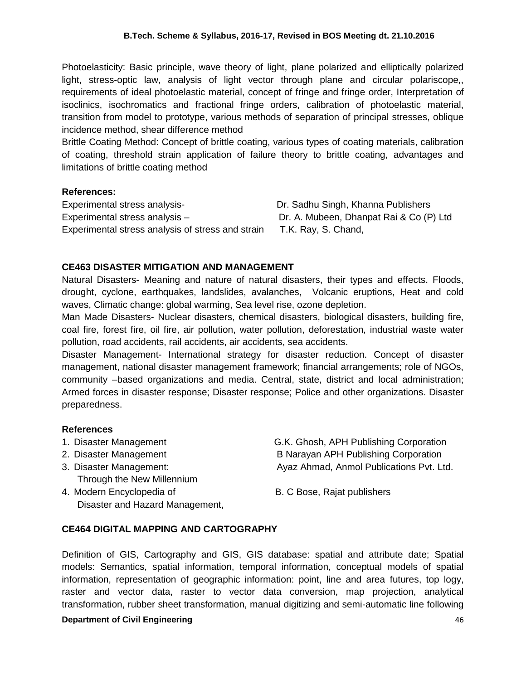Photoelasticity: Basic principle, wave theory of light, plane polarized and elliptically polarized light, stress-optic law, analysis of light vector through plane and circular polariscope,, requirements of ideal photoelastic material, concept of fringe and fringe order, Interpretation of isoclinics, isochromatics and fractional fringe orders, calibration of photoelastic material, transition from model to prototype, various methods of separation of principal stresses, oblique incidence method, shear difference method

Brittle Coating Method: Concept of brittle coating, various types of coating materials, calibration of coating, threshold strain application of failure theory to brittle coating, advantages and limitations of brittle coating method

## **References:**

Experimental stress analysis- Dr. Sadhu Singh, Khanna Publishers Experimental stress analysis – Dr. A. Mubeen, Dhanpat Rai & Co (P) Ltd Experimental stress analysis of stress and strain T.K. Ray, S. Chand,

## **CE463 DISASTER MITIGATION AND MANAGEMENT**

Natural Disasters- Meaning and nature of natural disasters, their types and effects. Floods, drought, cyclone, earthquakes, landslides, avalanches, Volcanic eruptions, Heat and cold waves, Climatic change: global warming, Sea level rise, ozone depletion.

Man Made Disasters- Nuclear disasters, chemical disasters, biological disasters, building fire, coal fire, forest fire, oil fire, air pollution, water pollution, deforestation, industrial waste water pollution, road accidents, rail accidents, air accidents, sea accidents.

Disaster Management- International strategy for disaster reduction. Concept of disaster management, national disaster management framework; financial arrangements; role of NGOs, community –based organizations and media. Central, state, district and local administration; Armed forces in disaster response; Disaster response; Police and other organizations. Disaster preparedness.

## **References**

- 
- 
- Through the New Millennium
- 4. Modern Encyclopedia of **B. C Bose, Rajat publishers** Disaster and Hazard Management,

1. Disaster Management G.K. Ghosh, APH Publishing Corporation 2. Disaster Management B Narayan APH Publishing Corporation 3. Disaster Management: Ayaz Ahmad, Anmol Publications Pvt. Ltd.

## **CE464 DIGITAL MAPPING AND CARTOGRAPHY**

Definition of GIS, Cartography and GIS, GIS database: spatial and attribute date; Spatial models: Semantics, spatial information, temporal information, conceptual models of spatial information, representation of geographic information: point, line and area futures, top logy, raster and vector data, raster to vector data conversion, map projection, analytical transformation, rubber sheet transformation, manual digitizing and semi-automatic line following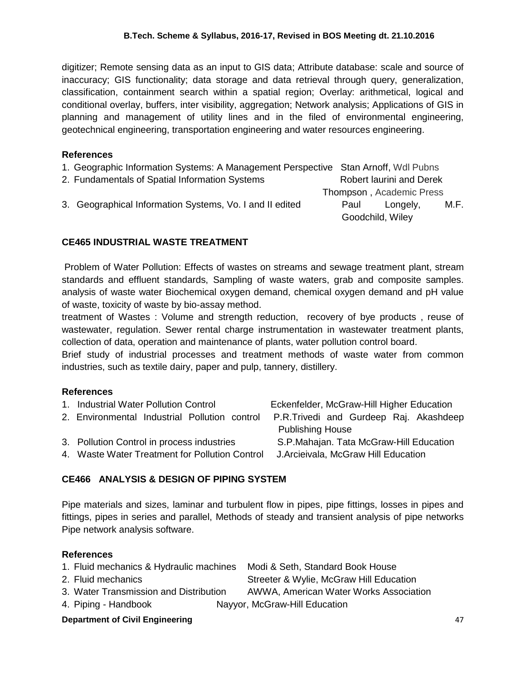digitizer; Remote sensing data as an input to GIS data; Attribute database: scale and source of inaccuracy; GIS functionality; data storage and data retrieval through query, generalization, classification, containment search within a spatial region; Overlay: arithmetical, logical and conditional overlay, buffers, inter visibility, aggregation; Network analysis; Applications of GIS in planning and management of utility lines and in the filed of environmental engineering, geotechnical engineering, transportation engineering and water resources engineering.

## **References**

| 1. Geographic Information Systems: A Management Perspective Stan Arnoff, Wdl Pubns |      |                          |      |
|------------------------------------------------------------------------------------|------|--------------------------|------|
| 2. Fundamentals of Spatial Information Systems                                     |      | Robert laurini and Derek |      |
|                                                                                    |      | Thompson, Academic Press |      |
| 3. Geographical Information Systems, Vo. I and II edited                           | Paul | Longely.                 | M.F. |
|                                                                                    |      | Goodchild, Wiley         |      |

## **CE465 INDUSTRIAL WASTE TREATMENT**

Problem of Water Pollution: Effects of wastes on streams and sewage treatment plant, stream standards and effluent standards, Sampling of waste waters, grab and composite samples. analysis of waste water Biochemical oxygen demand, chemical oxygen demand and pH value of waste, toxicity of waste by bio-assay method.

treatment of Wastes : Volume and strength reduction, recovery of bye products , reuse of wastewater, regulation. Sewer rental charge instrumentation in wastewater treatment plants, collection of data, operation and maintenance of plants, water pollution control board.

Brief study of industrial processes and treatment methods of waste water from common industries, such as textile dairy, paper and pulp, tannery, distillery.

## **References**

| 1. Industrial Water Pollution Control          | Eckenfelder, McGraw-Hill Higher Education |
|------------------------------------------------|-------------------------------------------|
| 2. Environmental Industrial Pollution control  | P.R.Trivedi and Gurdeep Raj. Akashdeep    |
|                                                | <b>Publishing House</b>                   |
| 3. Pollution Control in process industries     | S.P.Mahajan. Tata McGraw-Hill Education   |
| 4. Waste Water Treatment for Pollution Control | J. Arcieivala, McGraw Hill Education      |
|                                                |                                           |

## **CE466 ANALYSIS & DESIGN OF PIPING SYSTEM**

Pipe materials and sizes, laminar and turbulent flow in pipes, pipe fittings, losses in pipes and fittings, pipes in series and parallel, Methods of steady and transient analysis of pipe networks Pipe network analysis software.

## **References**

| 1. Fluid mechanics & Hydraulic machines | Modi & Seth, Standard Book House        |
|-----------------------------------------|-----------------------------------------|
| 2. Fluid mechanics                      | Streeter & Wylie, McGraw Hill Education |
| 3. Water Transmission and Distribution  | AWWA, American Water Works Association  |

4. Piping - Handbook Nayyor, McGraw-Hill Education

# **Department of Civil Engineering 47 and 2008 10 and 2008 10 and 2008 10 and 47 and 47 and 47 and 47 and 47 and 47 and 47 and 47 and 47 and 47 and 47 and 47 and 47 and 47 and 47 and 47 and 47 and 47 and 47 and 47 and 47 and**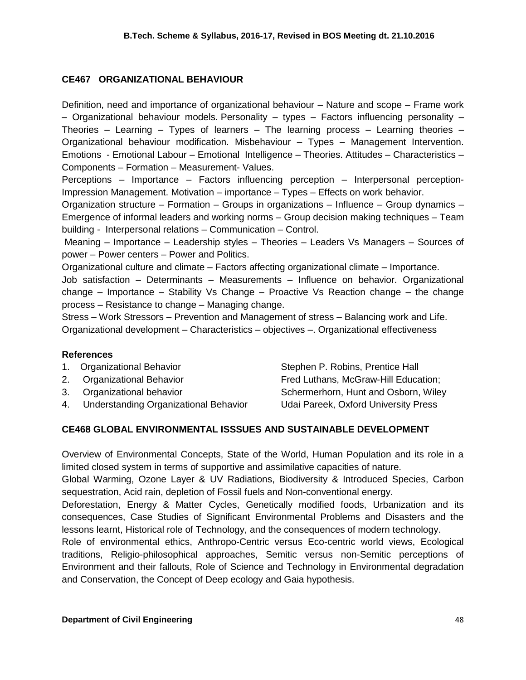## **CE467 ORGANIZATIONAL BEHAVIOUR**

Definition, need and importance of organizational behaviour – Nature and scope – Frame work – Organizational behaviour models. Personality – types – Factors influencing personality – Theories – Learning – Types of learners – The learning process – Learning theories – Organizational behaviour modification. Misbehaviour – Types – Management Intervention. Emotions - Emotional Labour – Emotional Intelligence – Theories. Attitudes – Characteristics – Components – Formation – Measurement- Values.

Perceptions – Importance – Factors influencing perception – Interpersonal perception-Impression Management. Motivation – importance – Types – Effects on work behavior.

Organization structure – Formation – Groups in organizations – Influence – Group dynamics – Emergence of informal leaders and working norms – Group decision making techniques – Team building - Interpersonal relations – Communication – Control.

Meaning – Importance – Leadership styles – Theories – Leaders Vs Managers – Sources of power – Power centers – Power and Politics.

Organizational culture and climate – Factors affecting organizational climate – Importance. Job satisfaction – Determinants – Measurements – Influence on behavior. Organizational change – Importance – Stability Vs Change – Proactive Vs Reaction change – the change process – Resistance to change – Managing change.

Stress – Work Stressors – Prevention and Management of stress – Balancing work and Life. Organizational development – Characteristics – objectives –. Organizational effectiveness

## **References**

| 1. Organizational Behavior               | Stephen P. Robins, Prentice Hall     |
|------------------------------------------|--------------------------------------|
| 2. Organizational Behavior               | Fred Luthans, McGraw-Hill Education; |
| 3. Organizational behavior               | Schermerhorn, Hunt and Osborn, Wiley |
| 4. Understanding Organizational Behavior | Udai Pareek, Oxford University Press |

## **CE468 GLOBAL ENVIRONMENTAL ISSSUES AND SUSTAINABLE DEVELOPMENT**

Overview of Environmental Concepts, State of the World, Human Population and its role in a limited closed system in terms of supportive and assimilative capacities of nature.

Global Warming, Ozone Layer & UV Radiations, Biodiversity & Introduced Species, Carbon sequestration, Acid rain, depletion of Fossil fuels and Non-conventional energy.

Deforestation, Energy & Matter Cycles, Genetically modified foods, Urbanization and its consequences, Case Studies of Significant Environmental Problems and Disasters and the lessons learnt, Historical role of Technology, and the consequences of modern technology.

Role of environmental ethics, Anthropo-Centric versus Eco-centric world views, Ecological traditions, Religio-philosophical approaches, Semitic versus non-Semitic perceptions of Environment and their fallouts, Role of Science and Technology in Environmental degradation and Conservation, the Concept of Deep ecology and Gaia hypothesis.